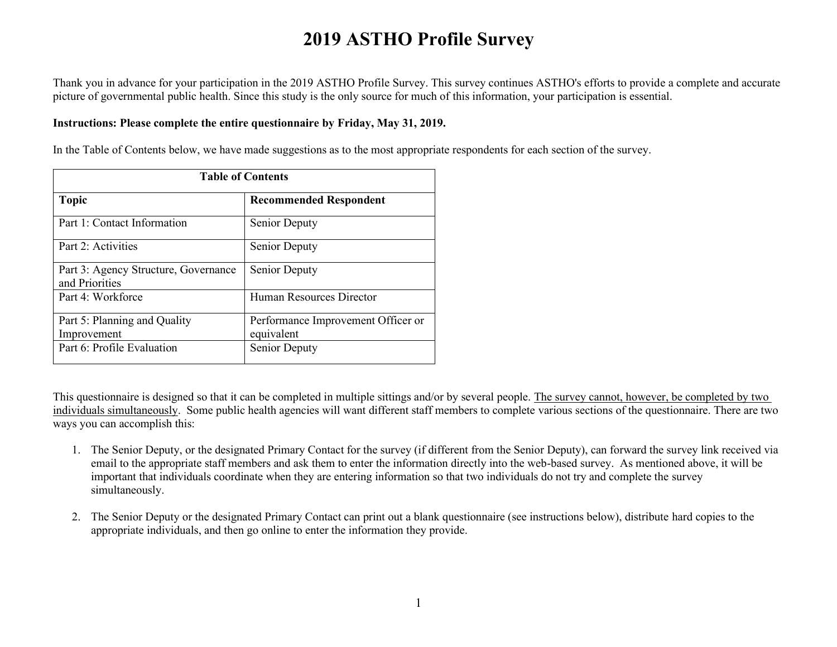Thank you in advance for your participation in the 2019 ASTHO Profile Survey. This survey continues ASTHO's efforts to provide a complete and accurate picture of governmental public health. Since this study is the only source for much of this information, your participation is essential.

#### **Instructions: Please complete the entire questionnaire by Friday, May 31, 2019.**

In the Table of Contents below, we have made suggestions as to the most appropriate respondents for each section of the survey.

| <b>Table of Contents</b>                               |                                                  |
|--------------------------------------------------------|--------------------------------------------------|
| <b>Topic</b>                                           | <b>Recommended Respondent</b>                    |
| Part 1: Contact Information                            | Senior Deputy                                    |
| Part 2: Activities                                     | Senior Deputy                                    |
| Part 3: Agency Structure, Governance<br>and Priorities | Senior Deputy                                    |
| Part 4: Workforce                                      | Human Resources Director                         |
| Part 5: Planning and Quality<br>Improvement            | Performance Improvement Officer or<br>equivalent |
| Part 6: Profile Evaluation                             | Senior Deputy                                    |

This questionnaire is designed so that it can be completed in multiple sittings and/or by several people. The survey cannot, however, be completed by two individuals simultaneously. Some public health agencies will want different staff members to complete various sections of the questionnaire. There are two ways you can accomplish this:

- 1. The Senior Deputy, or the designated Primary Contact for the survey (if different from the Senior Deputy), can forward the survey link received via email to the appropriate staff members and ask them to enter the information directly into the web-based survey. As mentioned above, it will be important that individuals coordinate when they are entering information so that two individuals do not try and complete the survey simultaneously.
- 2. The Senior Deputy or the designated Primary Contact can print out a blank questionnaire (see instructions below), distribute hard copies to the appropriate individuals, and then go online to enter the information they provide.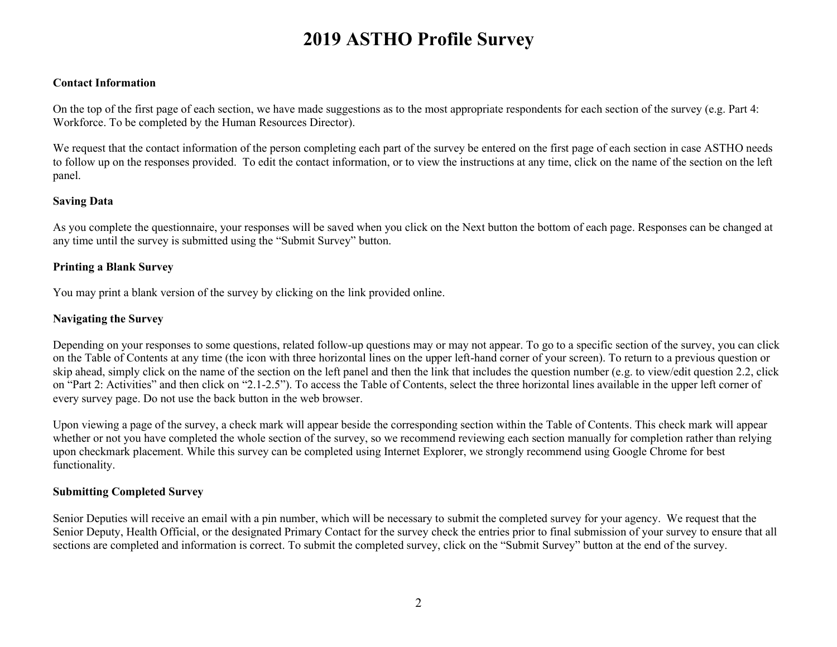#### **Contact Information**

On the top of the first page of each section, we have made suggestions as to the most appropriate respondents for each section of the survey (e.g. Part 4: Workforce. To be completed by the Human Resources Director).

We request that the contact information of the person completing each part of the survey be entered on the first page of each section in case ASTHO needs to follow up on the responses provided. To edit the contact information, or to view the instructions at any time, click on the name of the section on the left panel.

#### **Saving Data**

As you complete the questionnaire, your responses will be saved when you click on the Next button the bottom of each page. Responses can be changed at any time until the survey is submitted using the "Submit Survey" button.

#### **Printing a Blank Survey**

You may print a blank version of the survey by clicking on the link provided online.

#### **Navigating the Survey**

Depending on your responses to some questions, related follow-up questions may or may not appear. To go to a specific section of the survey, you can click on the Table of Contents at any time (the icon with three horizontal lines on the upper left-hand corner of your screen). To return to a previous question or skip ahead, simply click on the name of the section on the left panel and then the link that includes the question number (e.g. to view/edit question 2.2, click on "Part 2: Activities" and then click on "2.1-2.5"). To access the Table of Contents, select the three horizontal lines available in the upper left corner of every survey page. Do not use the back button in the web browser.

Upon viewing a page of the survey, a check mark will appear beside the corresponding section within the Table of Contents. This check mark will appear whether or not you have completed the whole section of the survey, so we recommend reviewing each section manually for completion rather than relying upon checkmark placement. While this survey can be completed using Internet Explorer, we strongly recommend using Google Chrome for best functionality.

#### **Submitting Completed Survey**

Senior Deputies will receive an email with a pin number, which will be necessary to submit the completed survey for your agency. We request that the Senior Deputy, Health Official, or the designated Primary Contact for the survey check the entries prior to final submission of your survey to ensure that all sections are completed and information is correct. To submit the completed survey, click on the "Submit Survey" button at the end of the survey.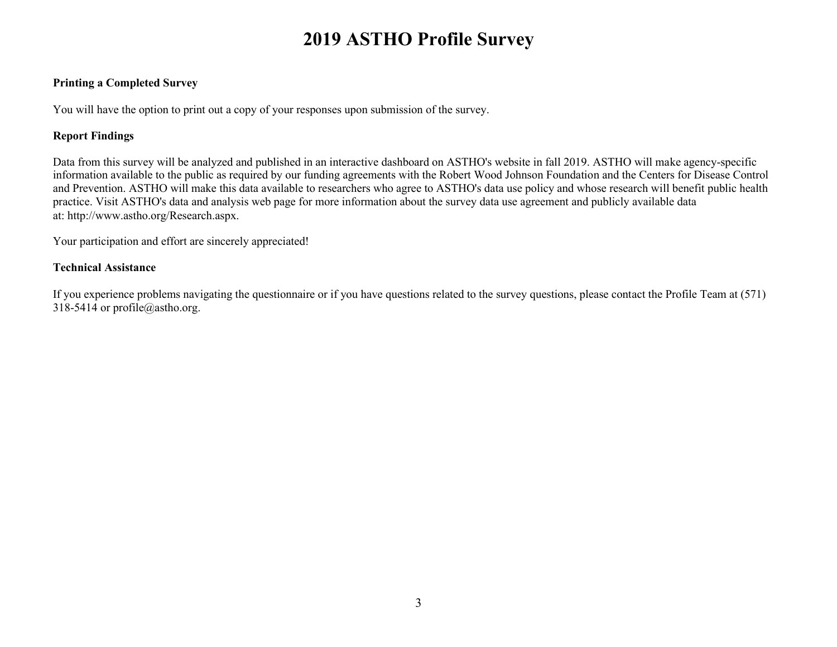#### **Printing a Completed Survey**

You will have the option to print out a copy of your responses upon submission of the survey.

#### **Report Findings**

Data from this survey will be analyzed and published in an interactive dashboard on ASTHO's website in fall 2019. ASTHO will make agency-specific information available to the public as required by our funding agreements with the Robert Wood Johnson Foundation and the Centers for Disease Control and Prevention. ASTHO will make this data available to researchers who agree to ASTHO's data use policy and whose research will benefit public health practice. Visit ASTHO's data and analysis web page for more information about the survey data use agreement and publicly available data at: http://www.astho.org/Research.aspx.

Your participation and effort are sincerely appreciated!

#### **Technical Assistance**

If you experience problems navigating the questionnaire or if you have questions related to the survey questions, please contact the Profile Team at (571) 318-5414 or profile@astho.org.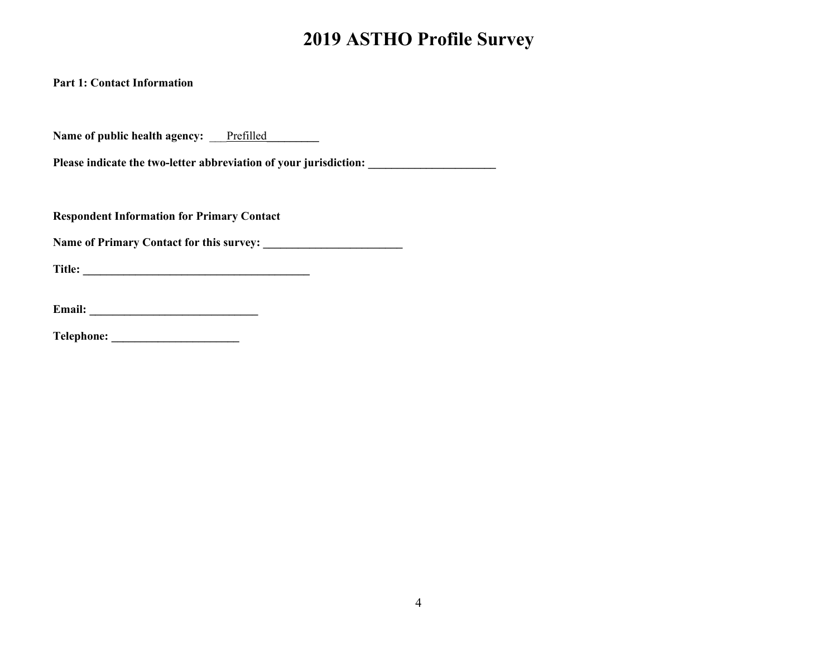**Part 1: Contact Information**

Name of public health agency: Prefilled

**Please indicate the two-letter abbreviation of your jurisdiction: \_\_\_\_\_\_\_\_\_\_\_\_\_\_\_\_\_\_\_\_\_\_**

**Respondent Information for Primary Contact**

**Name of Primary Contact for this survey: \_\_\_\_\_\_\_\_\_\_\_\_\_\_\_\_\_\_\_\_\_\_\_\_**

**Title: \_\_\_\_\_\_\_\_\_\_\_\_\_\_\_\_\_\_\_\_\_\_\_\_\_\_\_\_\_\_\_\_\_\_\_\_\_\_\_**

**Email: \_\_\_\_\_\_\_\_\_\_\_\_\_\_\_\_\_\_\_\_\_\_\_\_\_\_\_\_\_**

**Telephone: \_\_\_\_\_\_\_\_\_\_\_\_\_\_\_\_\_\_\_\_\_\_**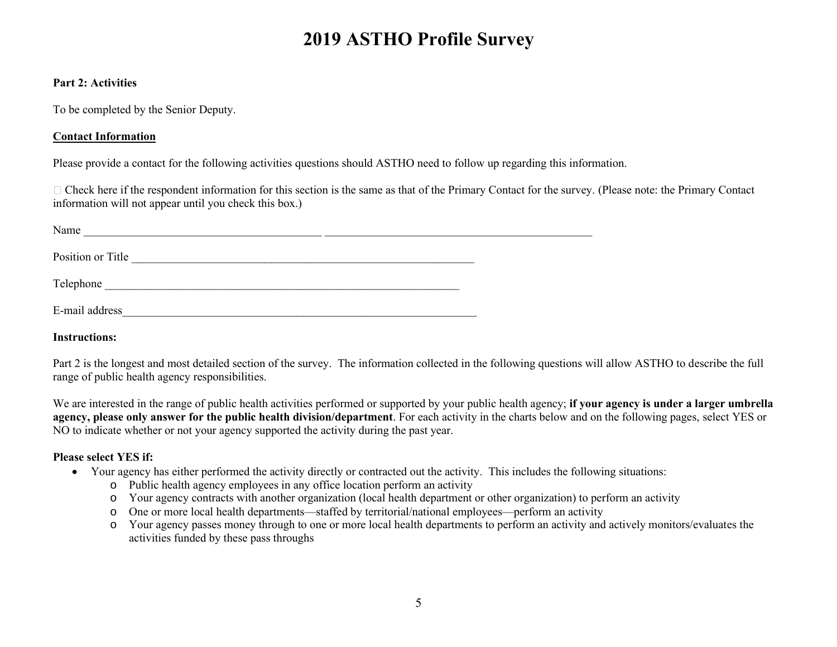#### **Part 2: Activities**

To be completed by the Senior Deputy.

## **Contact Information**

Please provide a contact for the following activities questions should ASTHO need to follow up regarding this information.

 $\Box$  Check here if the respondent information for this section is the same as that of the Primary Contact for the survey. (Please note: the Primary Contact information will not appear until you check this box.)

| Name              |  |
|-------------------|--|
| Position or Title |  |
| Telephone         |  |
| E-mail address    |  |

**Instructions:** 

Part 2 is the longest and most detailed section of the survey. The information collected in the following questions will allow ASTHO to describe the full range of public health agency responsibilities.

We are interested in the range of public health activities performed or supported by your public health agency; **if your agency is under a larger umbrella agency, please only answer for the public health division/department**. For each activity in the charts below and on the following pages, select YES or NO to indicate whether or not your agency supported the activity during the past year.

## **Please select YES if:**

- Your agency has either performed the activity directly or contracted out the activity. This includes the following situations:
	- o Public health agency employees in any office location perform an activity
	- o Your agency contracts with another organization (local health department or other organization) to perform an activity
	- o One or more local health departments—staffed by territorial/national employees—perform an activity
	- o Your agency passes money through to one or more local health departments to perform an activity and actively monitors/evaluates the activities funded by these pass throughs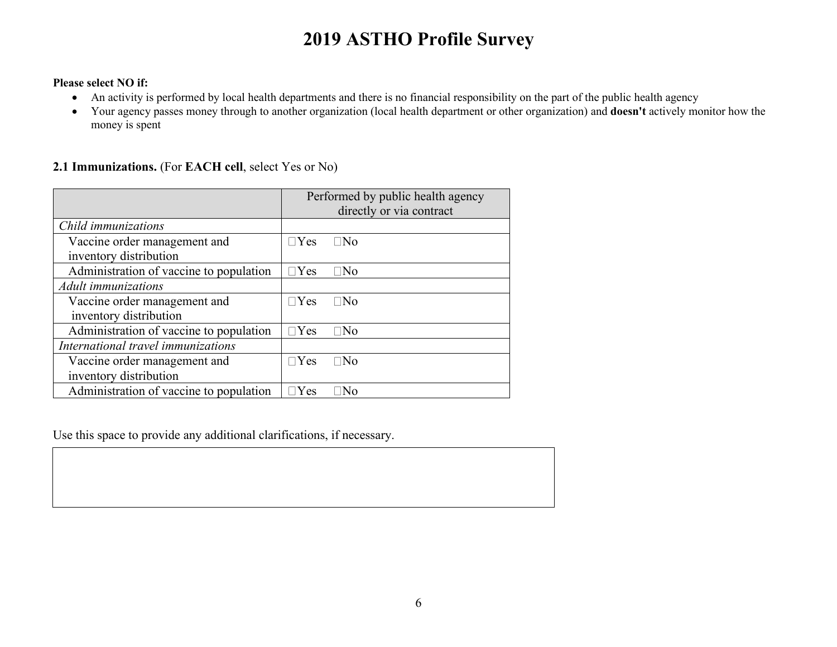#### **Please select NO if:**

- An activity is performed by local health departments and there is no financial responsibility on the part of the public health agency
- Your agency passes money through to another organization (local health department or other organization) and **doesn't** actively monitor how the money is spent

### **2.1 Immunizations.** (For **EACH cell**, select Yes or No)

|                                                        | Performed by public health agency<br>directly or via contract |
|--------------------------------------------------------|---------------------------------------------------------------|
| Child immunizations                                    |                                                               |
| Vaccine order management and<br>inventory distribution | $\Box$ Yes<br>⊟No                                             |
| Administration of vaccine to population                | $\Box$ Yes<br>⊤No                                             |
| Adult immunizations                                    |                                                               |
| Vaccine order management and<br>inventory distribution | $\sqcap$ Yes<br>∏No                                           |
| Administration of vaccine to population                | $\Box$ Yes<br> No                                             |
| International travel immunizations                     |                                                               |
| Vaccine order management and<br>inventory distribution | $\Box$ Yes<br>$\Box$ No                                       |
| Administration of vaccine to population                | <b>Yes</b><br>Nο                                              |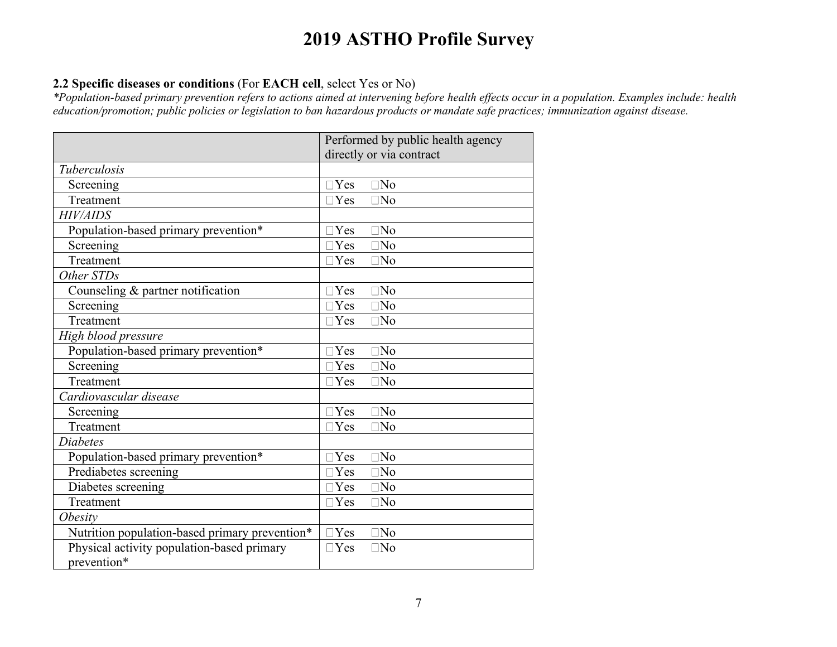## **2.2 Specific diseases or conditions** (For **EACH cell**, select Yes or No)

*\*Population-based primary prevention refers to actions aimed at intervening before health effects occur in a population. Examples include: health education/promotion; public policies or legislation to ban hazardous products or mandate safe practices; immunization against disease.*

|                                                | Performed by public health agency |
|------------------------------------------------|-----------------------------------|
|                                                | directly or via contract          |
| Tuberculosis                                   |                                   |
| Screening                                      | $\Box$ Yes<br>$\square$ No        |
| Treatment                                      | $\Box$ Yes<br>$\Box$ No           |
| <b>HIV/AIDS</b>                                |                                   |
| Population-based primary prevention*           | N <sub>o</sub><br>$\alpha$        |
| Screening                                      | $\Box$ Yes<br>$\square$ No        |
| Treatment                                      | $\Box$ Yes<br>$\square$ No        |
| Other STDs                                     |                                   |
| Counseling $&$ partner notification            | $\Box$ Yes<br>$\square$ No        |
| Screening                                      | $\Box$ Yes<br>$\exists$ No        |
| Treatment                                      | $\Box$ Yes<br>$\square$ No        |
| High blood pressure                            |                                   |
| Population-based primary prevention*           | $\Box$ Yes<br>$\Box$ No           |
| Screening                                      | $\Box$ Yes<br>$\square$ No        |
| Treatment                                      | $\Box$ Yes<br>$\Box$ No           |
| Cardiovascular disease                         |                                   |
| Screening                                      | $\neg$ Yes<br>N <sub>0</sub>      |
| Treatment                                      | $\Box$ Yes<br>$\exists$ No        |
| Diabetes                                       |                                   |
| Population-based primary prevention*           | $\Box$ Yes<br>$\square$ No        |
| Prediabetes screening                          | $\Box$ Yes<br>$\square$ No        |
| Diabetes screening                             | $\Box$ Yes<br>$\Box$ No           |
| Treatment                                      | $\Box$ Yes<br>$\square$ No        |
| <i><b>Obesity</b></i>                          |                                   |
| Nutrition population-based primary prevention* | $\Box$ Yes<br>N <sub>0</sub>      |
| Physical activity population-based primary     | $\Box$ Yes<br>$\square$ No        |
| prevention*                                    |                                   |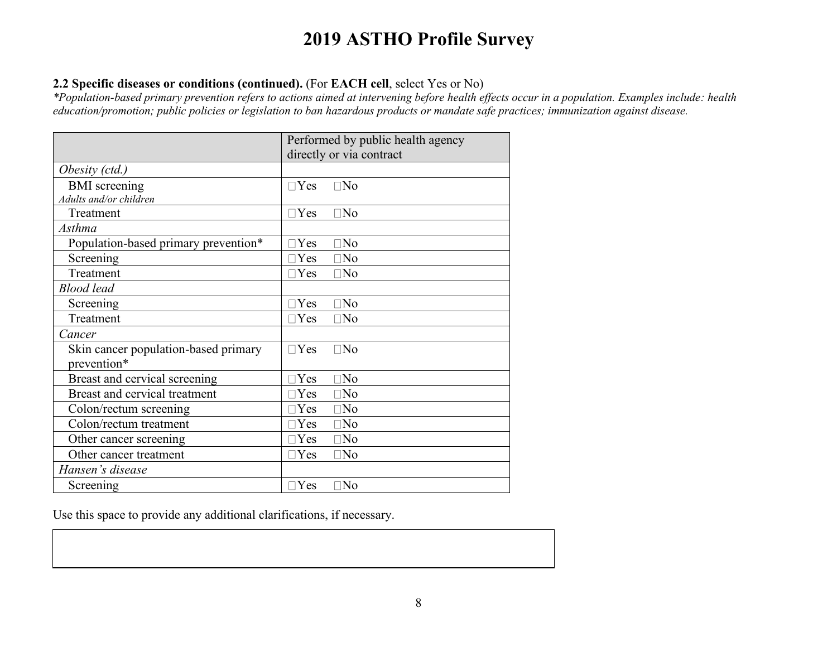## **2.2 Specific diseases or conditions (continued).** (For **EACH cell**, select Yes or No)

*\*Population-based primary prevention refers to actions aimed at intervening before health effects occur in a population. Examples include: health education/promotion; public policies or legislation to ban hazardous products or mandate safe practices; immunization against disease.*

|                                      | Performed by public health agency |
|--------------------------------------|-----------------------------------|
|                                      | directly or via contract          |
| Obesity (ctd.)                       |                                   |
| <b>BMI</b> screening                 | $\Box$ No<br>$\Box$ Yes           |
| Adults and/or children               |                                   |
| Treatment                            | $\Box$ Yes<br>$\Box$ No           |
| Asthma                               |                                   |
| Population-based primary prevention* | $\square$ No<br>$\neg$ Yes        |
| Screening                            | $\Box$ Yes<br>$\Box$ No           |
| Treatment                            | $\Box$ Yes<br>$\Box$ No           |
| <b>Blood</b> lead                    |                                   |
| Screening                            | $\square$ No<br>$\neg$ Yes        |
| Treatment                            | $\Box$ Yes<br>$\Box$ No           |
| Cancer                               |                                   |
| Skin cancer population-based primary | $\Box$ Yes<br>$\Box$ No           |
| prevention*                          |                                   |
| Breast and cervical screening        | $\exists$ Yes<br>$\square$ No     |
| Breast and cervical treatment        | $\neg$ Yes<br>$\square$ No        |
| Colon/rectum screening               | $\exists$ Yes<br>$\square$ No     |
| Colon/rectum treatment               | $\neg$ Yes<br>$\Box$ No           |
| Other cancer screening               | $\sqcap$ Yes<br>$\square$ No      |
| Other cancer treatment               | $\sqcap$ Yes<br>$\Box$ No         |
| Hansen's disease                     |                                   |
| Screening                            | $\Box$ Yes<br>$\square$ No        |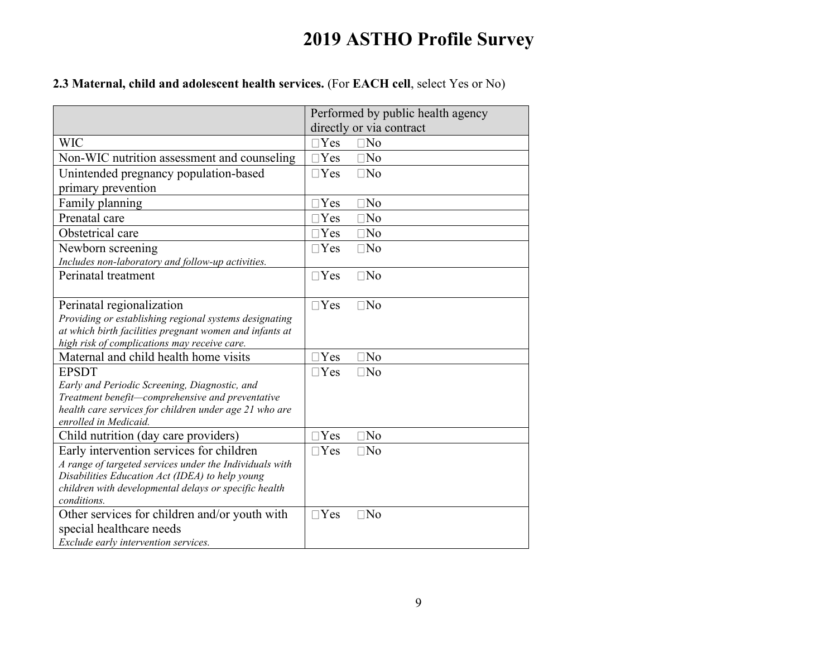## **2.3 Maternal, child and adolescent health services.** (For **EACH cell**, select Yes or No)

|                                                                                                   | Performed by public health agency<br>directly or via contract |
|---------------------------------------------------------------------------------------------------|---------------------------------------------------------------|
| <b>WIC</b>                                                                                        | $\Box$ Yes<br>$\Box$ No                                       |
| Non-WIC nutrition assessment and counseling                                                       | $\Box$ Yes<br>$\square$ No                                    |
| Unintended pregnancy population-based                                                             | $\Box$ Yes<br>$\Box$ No                                       |
| primary prevention                                                                                |                                                               |
| Family planning                                                                                   | $\Box$ No<br>$\Box$ Yes                                       |
| Prenatal care                                                                                     | $\Box$ Yes<br>$\Box$ No                                       |
| Obstetrical care                                                                                  | $\Box$ Yes<br>$\Box$ No                                       |
| Newborn screening                                                                                 | $\Box$ Yes<br>$\Box$ No                                       |
| Includes non-laboratory and follow-up activities.                                                 |                                                               |
| Perinatal treatment                                                                               | $\Box$ No<br>$\Box$ Yes                                       |
|                                                                                                   |                                                               |
| Perinatal regionalization                                                                         | $\Box$ Yes<br>$\Box$ No                                       |
| Providing or establishing regional systems designating                                            |                                                               |
| at which birth facilities pregnant women and infants at                                           |                                                               |
| high risk of complications may receive care.<br>Maternal and child health home visits             | $\Box$ Yes<br>$\Box$ No                                       |
|                                                                                                   |                                                               |
| <b>EPSDT</b>                                                                                      | $\Box$ Yes<br>$\Box$ No                                       |
| Early and Periodic Screening, Diagnostic, and<br>Treatment benefit-comprehensive and preventative |                                                               |
| health care services for children under age 21 who are                                            |                                                               |
| enrolled in Medicaid.                                                                             |                                                               |
| Child nutrition (day care providers)                                                              | $\neg$ Yes<br>$\Box$ No                                       |
| Early intervention services for children                                                          | $\neg$ Yes<br>$\Box$ No                                       |
| A range of targeted services under the Individuals with                                           |                                                               |
| Disabilities Education Act (IDEA) to help young                                                   |                                                               |
| children with developmental delays or specific health                                             |                                                               |
| conditions.                                                                                       |                                                               |
| Other services for children and/or youth with                                                     | $\Box$ Yes<br>$\square$ No                                    |
| special healthcare needs                                                                          |                                                               |
| Exclude early intervention services.                                                              |                                                               |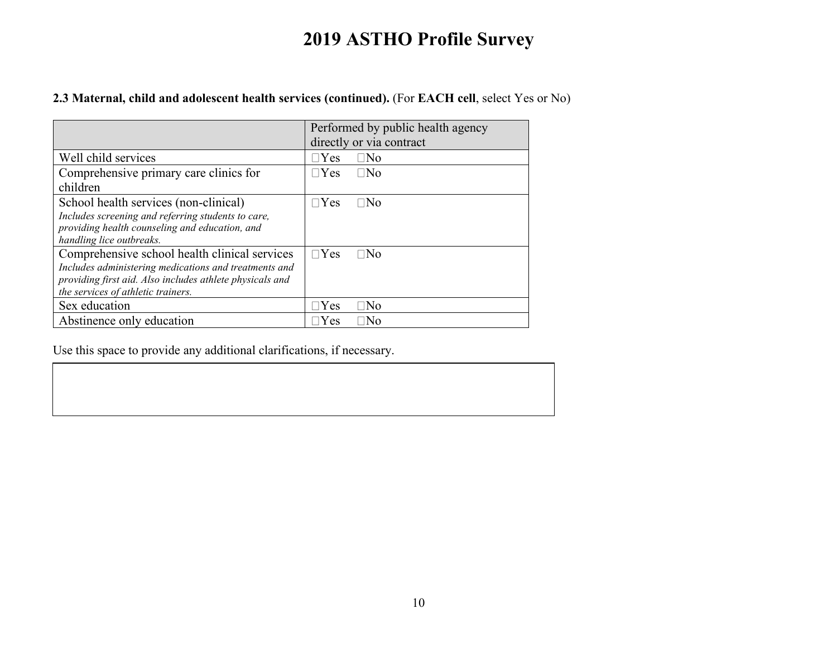## **2.3 Maternal, child and adolescent health services (continued).** (For **EACH cell**, select Yes or No)

|                                                          | Performed by public health agency |
|----------------------------------------------------------|-----------------------------------|
|                                                          | directly or via contract          |
| Well child services                                      | $\sqcap$ Yes<br>$\Box$ No         |
| Comprehensive primary care clinics for                   | $\sqcap$ Yes<br>$\Box$ No         |
| children                                                 |                                   |
| School health services (non-clinical)                    | $\Box$ Yes<br>⊟No                 |
| Includes screening and referring students to care,       |                                   |
| providing health counseling and education, and           |                                   |
| handling lice outbreaks.                                 |                                   |
| Comprehensive school health clinical services            | $\Box$ Yes<br>$\Box$ No           |
| Includes administering medications and treatments and    |                                   |
| providing first aid. Also includes athlete physicals and |                                   |
| the services of athletic trainers.                       |                                   |
| Sex education                                            | $\Box$ Yes<br> No                 |
| Abstinence only education                                | Yes<br>⊤No                        |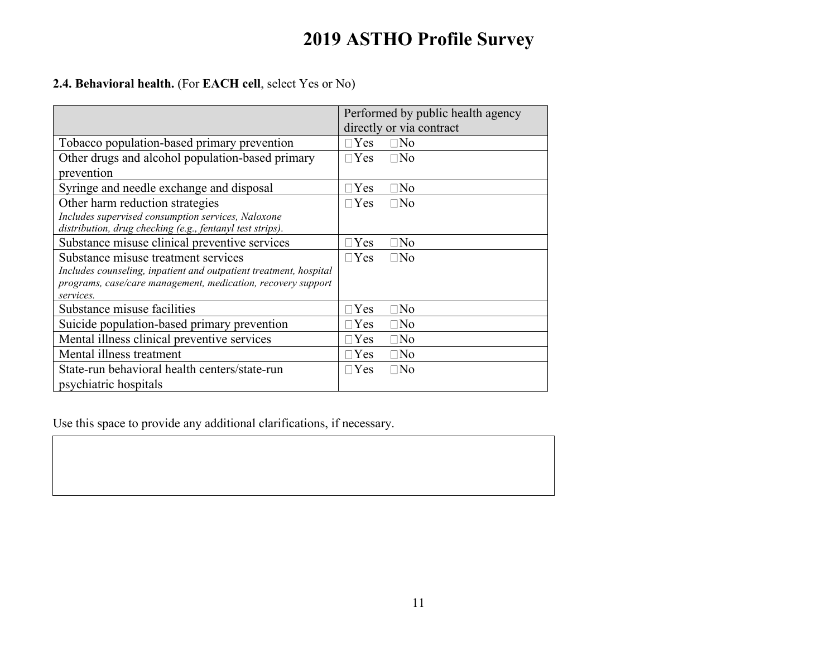## **2.4. Behavioral health.** (For **EACH cell**, select Yes or No)

|                                                                   | Performed by public health agency |
|-------------------------------------------------------------------|-----------------------------------|
|                                                                   | directly or via contract          |
| Tobacco population-based primary prevention                       | $\Box$ Yes<br>$\square$ No        |
| Other drugs and alcohol population-based primary                  | $\Box$ Yes<br>$\Box$ No           |
| prevention                                                        |                                   |
| Syringe and needle exchange and disposal                          | $\Box$ No<br>$\Box$ Yes           |
| Other harm reduction strategies                                   | $\Box$ No<br>$\Box$ Yes           |
| Includes supervised consumption services, Naloxone                |                                   |
| distribution, drug checking (e.g., fentanyl test strips).         |                                   |
| Substance misuse clinical preventive services                     | $\Box$ Yes<br>$\Box$ No           |
| Substance misuse treatment services                               | $\Box$ Yes<br>$\Box$ No           |
| Includes counseling, inpatient and outpatient treatment, hospital |                                   |
| programs, case/care management, medication, recovery support      |                                   |
| services.                                                         |                                   |
| Substance misuse facilities                                       | $\Box$ Yes<br>$\square$ No        |
| Suicide population-based primary prevention                       | $\square$ No<br>$\Box$ Yes        |
| Mental illness clinical preventive services                       | $\Box$ No<br>$\Box$ Yes           |
| Mental illness treatment                                          | $\Box$ No<br>$\Box$ Yes           |
| State-run behavioral health centers/state-run                     | $\Box$ No<br>$\Box$ Yes           |
| psychiatric hospitals                                             |                                   |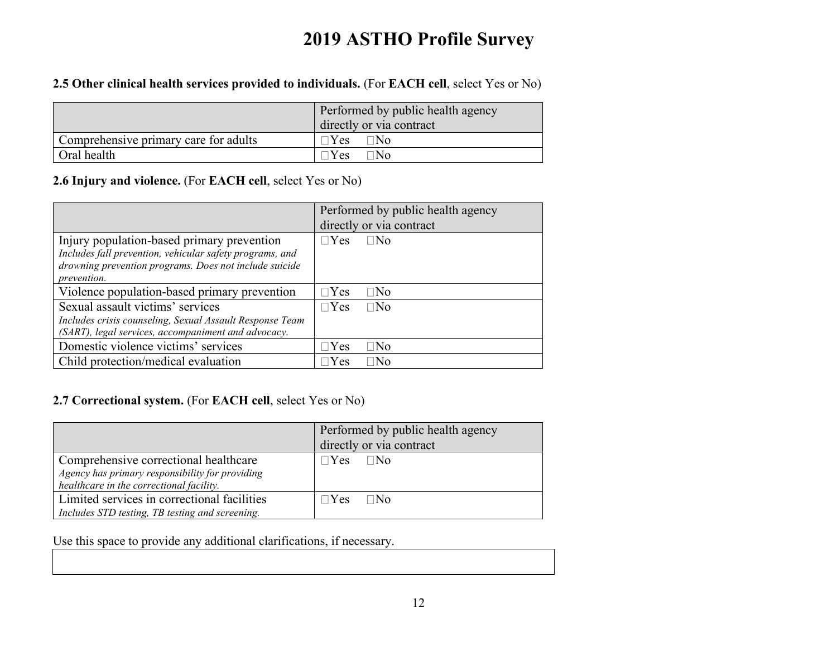## **2.5 Other clinical health services provided to individuals.** (For **EACH cell**, select Yes or No)

|                                       | Performed by public health agency<br>directly or via contract |
|---------------------------------------|---------------------------------------------------------------|
| Comprehensive primary care for adults | ∃No<br><b>Yes</b>                                             |
| Oral health                           | Yes<br>™o                                                     |

## **2.6 Injury and violence.** (For **EACH cell**, select Yes or No)

|                                                                                                                                                                                 | Performed by public health agency<br>directly or via contract |
|---------------------------------------------------------------------------------------------------------------------------------------------------------------------------------|---------------------------------------------------------------|
| Injury population-based primary prevention<br>Includes fall prevention, vehicular safety programs, and<br>drowning prevention programs. Does not include suicide<br>prevention. | $\Box$ No<br>$\neg$ Yes                                       |
| Violence population-based primary prevention                                                                                                                                    | $\Box$ Yes<br>$\Box$ No                                       |
| Sexual assault victims' services<br>Includes crisis counseling, Sexual Assault Response Team<br>(SART), legal services, accompaniment and advocacy.                             | $\neg$ Yes<br>$\Box$ No                                       |
| Domestic violence victims' services                                                                                                                                             | Yes<br>⊐No                                                    |
| Child protection/medical evaluation                                                                                                                                             | ⊤No<br>Yes                                                    |

## **2.7 Correctional system.** (For **EACH cell**, select Yes or No)

|                                                                                                                                      | Performed by public health agency<br>directly or via contract |
|--------------------------------------------------------------------------------------------------------------------------------------|---------------------------------------------------------------|
| Comprehensive correctional healthcare<br>Agency has primary responsibility for providing<br>healthcare in the correctional facility. | $\Box$ No<br>$\n  Yes\n$                                      |
| Limited services in correctional facilities<br>Includes STD testing, TB testing and screening.                                       | $Y$ es<br>∏No                                                 |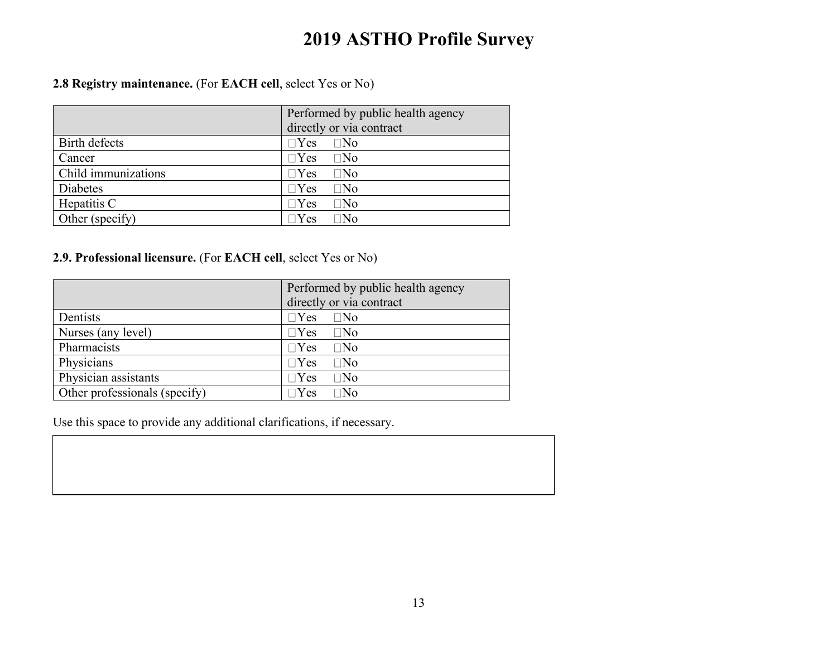**2.8 Registry maintenance.** (For **EACH cell**, select Yes or No)

|                     | Performed by public health agency<br>directly or via contract |
|---------------------|---------------------------------------------------------------|
| Birth defects       | $\Box$ Yes<br>$\Box$ No                                       |
| Cancer              | $\Box$ Yes<br>$\Box$ No                                       |
| Child immunizations | $\Box$ Yes<br>$\square$ No                                    |
| Diabetes            | $\Box$ Yes<br>$\square$ No                                    |
| Hepatitis C         | $\Box$ Yes<br>$\square$ No                                    |
| Other (specify)     | $\Box$ Yes<br>⊤No                                             |

## **2.9. Professional licensure.** (For **EACH cell**, select Yes or No)

|                               | Performed by public health agency |
|-------------------------------|-----------------------------------|
|                               | directly or via contract          |
| Dentists                      | $\Box$ Yes<br>$\Box$ No           |
| Nurses (any level)            | $\Box$ Yes<br>$\square$ No        |
| Pharmacists                   | $\Box$ Yes<br>$\Box$ No           |
| Physicians                    | $\Box$ Yes<br>$\square$ No        |
| Physician assistants          | $\Box$ Yes<br>$\square$ No        |
| Other professionals (specify) | $\Box$ Yes<br>$\Box\mathrm{No}$   |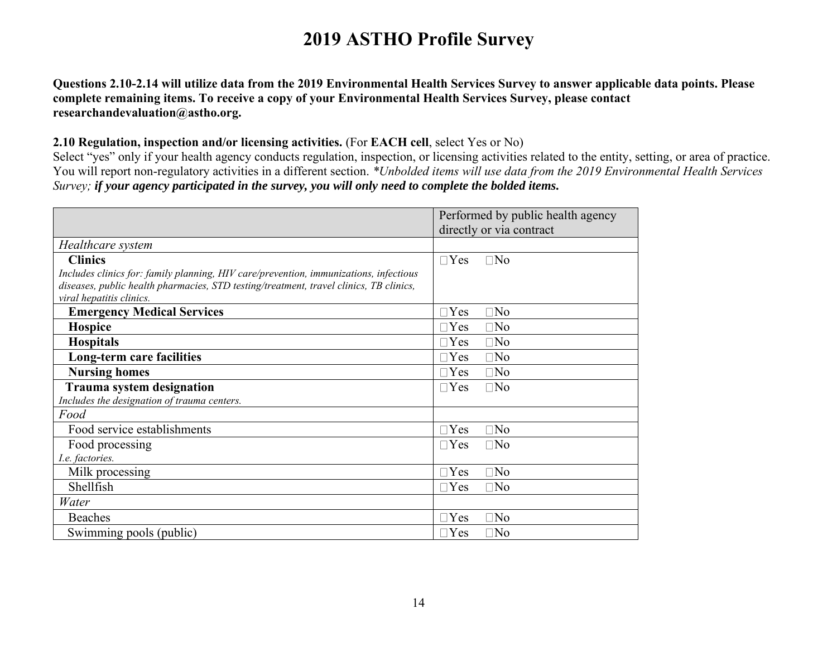**Questions 2.10-2.14 will utilize data from the 2019 Environmental Health Services Survey to answer applicable data points. Please complete remaining items. To receive a copy of your Environmental Health Services Survey, please contact researchandevaluation@astho.org.**

### **2.10 Regulation, inspection and/or licensing activities.** (For **EACH cell**, select Yes or No)

Select "yes" only if your health agency conducts regulation, inspection, or licensing activities related to the entity, setting, or area of practice. You will report non-regulatory activities in a different section. *\*Unbolded items will use data from the 2019 Environmental Health Services Survey; if your agency participated in the survey, you will only need to complete the bolded items.*

|                                                                                        | Performed by public health agency |
|----------------------------------------------------------------------------------------|-----------------------------------|
|                                                                                        | directly or via contract          |
| Healthcare system                                                                      |                                   |
| <b>Clinics</b>                                                                         | $\Box$ No<br>$\Box$ Yes           |
| Includes clinics for: family planning, HIV care/prevention, immunizations, infectious  |                                   |
| diseases, public health pharmacies, STD testing/treatment, travel clinics, TB clinics, |                                   |
| viral hepatitis clinics.                                                               |                                   |
| <b>Emergency Medical Services</b>                                                      | $\Box$ No<br>$\exists$ Yes        |
| <b>Hospice</b>                                                                         | $\exists$ Yes<br>$\Box$ No        |
| <b>Hospitals</b>                                                                       | $\Box$ No<br>$\exists$ Yes        |
| Long-term care facilities                                                              | $\Box$ No<br>$\Box$ Yes           |
| <b>Nursing homes</b>                                                                   | $\Box$ No<br>$\exists$ Yes        |
| <b>Trauma system designation</b>                                                       | $\Box$ No<br>$\Box$ Yes           |
| Includes the designation of trauma centers.                                            |                                   |
| Food                                                                                   |                                   |
| Food service establishments                                                            | $\Box$ No<br>$\Box$ Yes           |
| Food processing                                                                        | $\Box$ Yes<br>$\Box$ No           |
| I.e. factories.                                                                        |                                   |
| Milk processing                                                                        | $\Box$ No<br>$\Box$ Yes           |
| Shellfish                                                                              | $\Box$ No<br>$\exists$ Yes        |
| Water                                                                                  |                                   |
| Beaches                                                                                | $\Box$ No<br>$\Box$ Yes           |
| Swimming pools (public)                                                                | $\Box$ No<br>$\Box$ Yes           |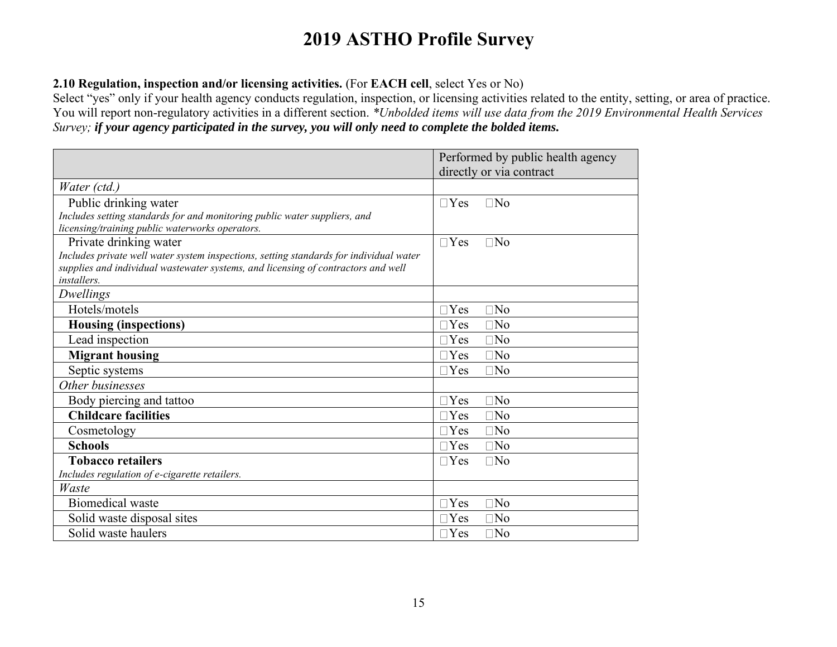## **2.10 Regulation, inspection and/or licensing activities.** (For **EACH cell**, select Yes or No)

Select "yes" only if your health agency conducts regulation, inspection, or licensing activities related to the entity, setting, or area of practice. You will report non-regulatory activities in a different section. *\*Unbolded items will use data from the 2019 Environmental Health Services Survey; if your agency participated in the survey, you will only need to complete the bolded items.*

|                                                                                        | Performed by public health agency |
|----------------------------------------------------------------------------------------|-----------------------------------|
|                                                                                        | directly or via contract          |
| Water (ctd.)                                                                           |                                   |
| Public drinking water                                                                  | $\Box$ No<br>$\Box$ Yes           |
| Includes setting standards for and monitoring public water suppliers, and              |                                   |
| licensing/training public waterworks operators.                                        |                                   |
| Private drinking water                                                                 | $\Box$ No<br>$\Box$ Yes           |
| Includes private well water system inspections, setting standards for individual water |                                   |
| supplies and individual wastewater systems, and licensing of contractors and well      |                                   |
| installers.                                                                            |                                   |
| Dwellings                                                                              |                                   |
| Hotels/motels                                                                          | $\Box$ No<br>$\Box$ Yes           |
| <b>Housing (inspections)</b>                                                           | $\Box$ No<br>$\Box$ Yes           |
| Lead inspection                                                                        | $\Box$ No<br>$\Box$ Yes           |
| <b>Migrant housing</b>                                                                 | $\Box$ No<br>$\Box$ Yes           |
| Septic systems                                                                         | $\Box$ No<br>$\Box$ Yes           |
| Other businesses                                                                       |                                   |
| Body piercing and tattoo                                                               | $\Box$ No<br>$\Box$ Yes           |
| <b>Childcare facilities</b>                                                            | $\Box$ Yes<br>$\Box$ No           |
| Cosmetology                                                                            | $\Box$ No<br>$\neg$ Yes           |
| <b>Schools</b>                                                                         | $\Box$ Yes<br>$\Box$ No           |
| <b>Tobacco retailers</b>                                                               | $\Box$ No<br>$\Box$ Yes           |
| Includes regulation of e-cigarette retailers.                                          |                                   |
| Waste                                                                                  |                                   |
| <b>Biomedical</b> waste                                                                | $\Box$ Yes<br>$\Box$ No           |
| Solid waste disposal sites                                                             | $\Box$ No<br>$\Box$ Yes           |
| Solid waste haulers                                                                    | $\Box$ No<br>$\Box$ Yes           |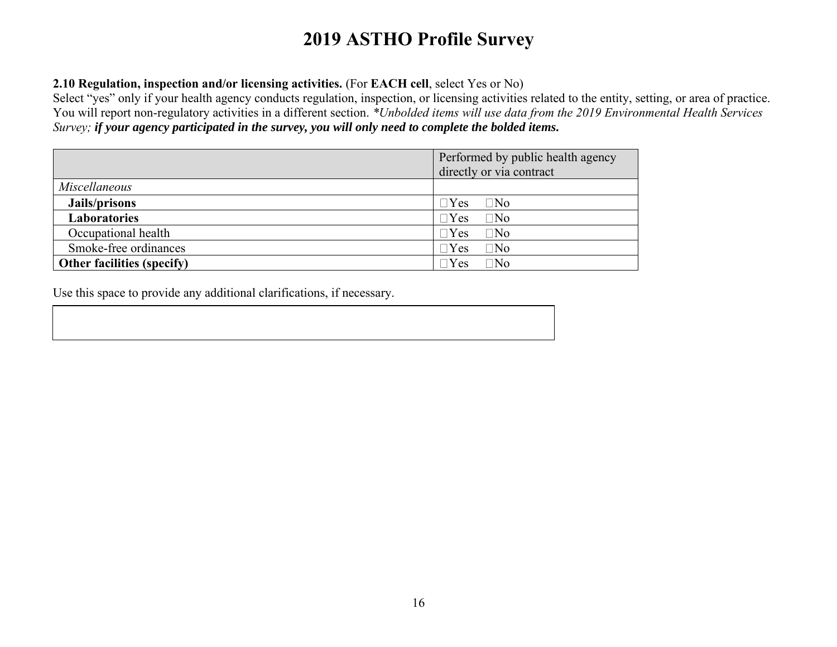## **2.10 Regulation, inspection and/or licensing activities.** (For **EACH cell**, select Yes or No)

Select "yes" only if your health agency conducts regulation, inspection, or licensing activities related to the entity, setting, or area of practice. You will report non-regulatory activities in a different section. *\*Unbolded items will use data from the 2019 Environmental Health Services Survey; if your agency participated in the survey, you will only need to complete the bolded items.*

|                                   | Performed by public health agency<br>directly or via contract |  |  |
|-----------------------------------|---------------------------------------------------------------|--|--|
| <b>Miscellaneous</b>              |                                                               |  |  |
| Jails/prisons                     | $\Box$ Yes<br>$\Box$ No                                       |  |  |
| <b>Laboratories</b>               | $\Box$ No<br>$\Box$ Yes                                       |  |  |
| Occupational health               | $\Box$ Yes<br>$\Box$ No                                       |  |  |
| Smoke-free ordinances             | $\Box$ No<br>$\Box$ Yes                                       |  |  |
| <b>Other facilities (specify)</b> | $\exists$ Yes<br>$\square$ No                                 |  |  |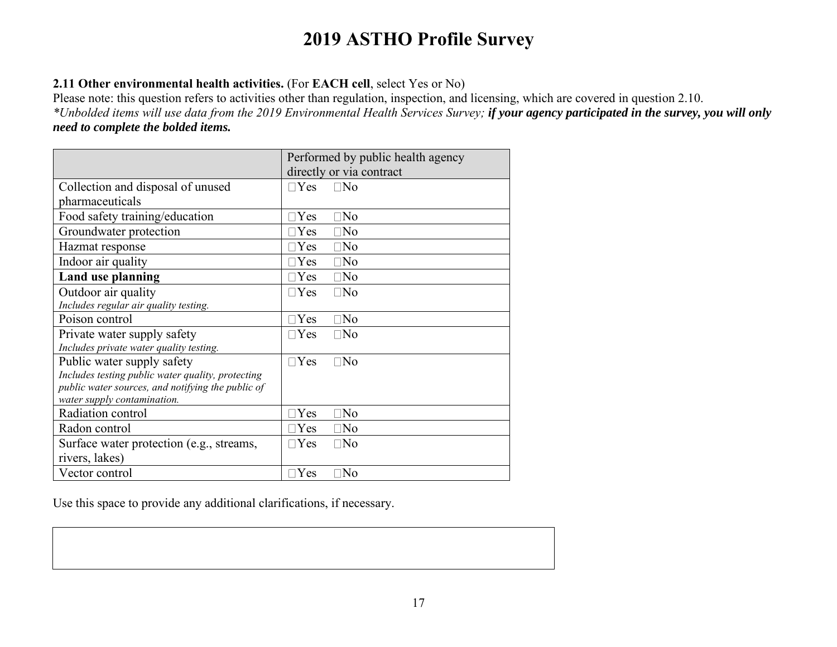## **2.11 Other environmental health activities.** (For **EACH cell**, select Yes or No)

Please note: this question refers to activities other than regulation, inspection, and licensing, which are covered in question 2.10. *\*Unbolded items will use data from the 2019 Environmental Health Services Survey; if your agency participated in the survey, you will only need to complete the bolded items.*

|                                                   | Performed by public health agency |
|---------------------------------------------------|-----------------------------------|
|                                                   | directly or via contract          |
| Collection and disposal of unused                 | $\Box$ Yes<br>$\Box$ No           |
| pharmaceuticals                                   |                                   |
| Food safety training/education                    | $\square$ No<br>$\exists$ Yes     |
| Groundwater protection                            | $\neg$ Yes<br>$\Box$ No           |
| Hazmat response                                   | $\Box$ No<br>$\sqcap$ Yes         |
| Indoor air quality                                | $\Box$ No<br>$\Box$ Yes           |
| Land use planning                                 | $\exists$ Yes<br>$\Box$ No        |
| Outdoor air quality                               | $\Box$ Yes<br>$\Box$ No           |
| Includes regular air quality testing.             |                                   |
| Poison control                                    | $\Box$ Yes<br>$\Box$ No           |
| Private water supply safety                       | $\Box$ Yes<br>$\Box$ No           |
| Includes private water quality testing.           |                                   |
| Public water supply safety                        | $\Box$ Yes<br>$\Box$ No           |
| Includes testing public water quality, protecting |                                   |
| public water sources, and notifying the public of |                                   |
| water supply contamination.                       |                                   |
| Radiation control                                 | $\Box$ Yes<br>$\square$ No        |
| Radon control                                     | $\exists$ Yes<br>$\Box$ No        |
| Surface water protection (e.g., streams,          | $\Box$ Yes<br>$\Box$ No           |
| rivers, lakes)                                    |                                   |
| Vector control                                    | $\square$ No<br>Yes               |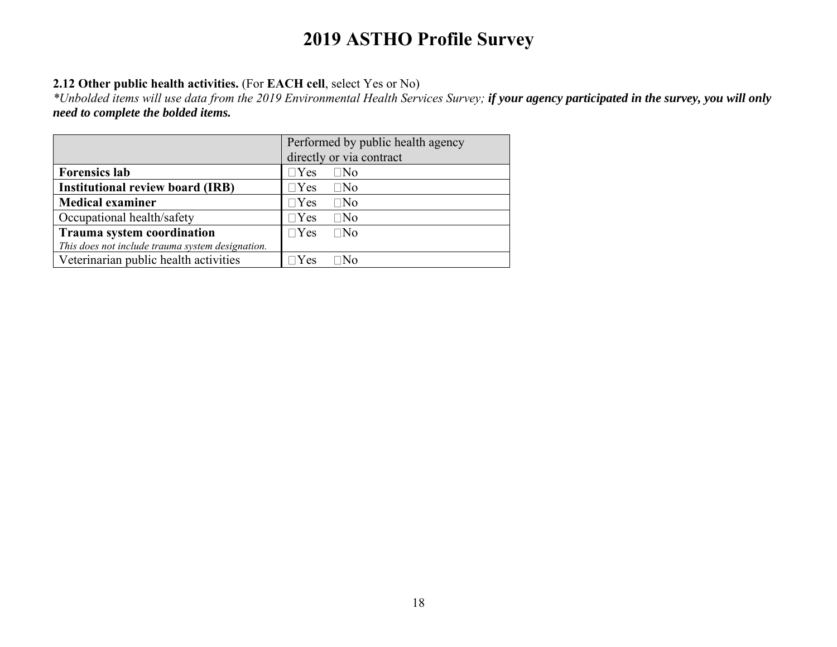## **2.12 Other public health activities.** (For **EACH cell**, select Yes or No)

*\*Unbolded items will use data from the 2019 Environmental Health Services Survey; if your agency participated in the survey, you will only need to complete the bolded items.*

|                                                  | Performed by public health agency |
|--------------------------------------------------|-----------------------------------|
|                                                  | directly or via contract          |
| <b>Forensics lab</b>                             | $\Box$ No<br>$\Box$ Yes           |
| <b>Institutional review board (IRB)</b>          | $\square$ No<br>$\sqcap$ Yes      |
| <b>Medical examiner</b>                          | $\Box$ Yes<br>$\square$ No        |
| Occupational health/safety                       | $\square$ No<br>$\Box$ Yes        |
| <b>Trauma system coordination</b>                | $\Box$ No<br>$\Box$ Yes           |
| This does not include trauma system designation. |                                   |
| Veterinarian public health activities            | M∩<br>$Y$ es                      |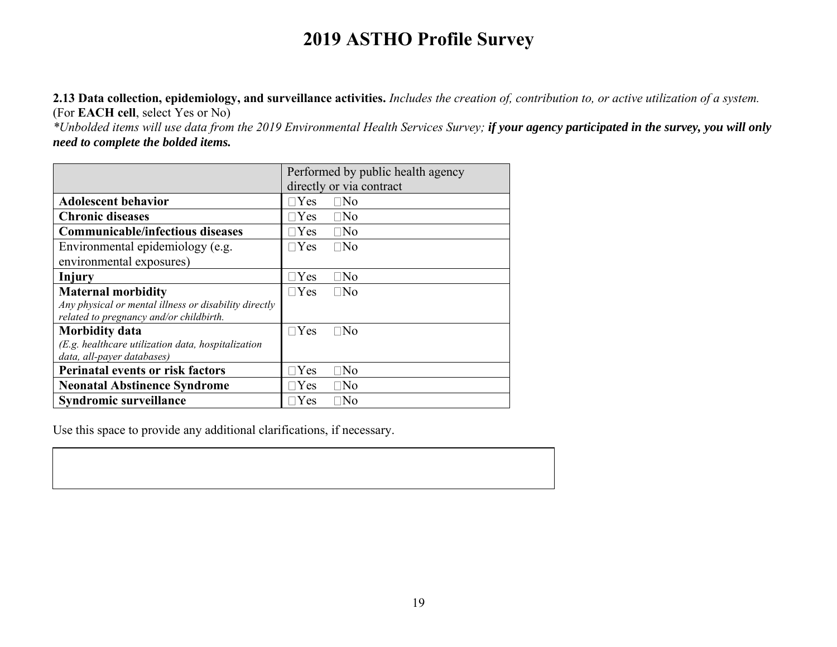**2.13 Data collection, epidemiology, and surveillance activities.** *Includes the creation of, contribution to, or active utilization of a system.*  (For **EACH cell**, select Yes or No)

*\*Unbolded items will use data from the 2019 Environmental Health Services Survey; if your agency participated in the survey, you will only need to complete the bolded items.*

|                                                       | Performed by public health agency |  |  |
|-------------------------------------------------------|-----------------------------------|--|--|
|                                                       | directly or via contract          |  |  |
| <b>Adolescent behavior</b>                            | $\neg$ Yes<br>$\Box$ No           |  |  |
| <b>Chronic diseases</b>                               | $\neg$ Yes<br>$\Box$ No           |  |  |
| <b>Communicable/infectious diseases</b>               | $\exists$ Yes<br>$\Box$ No        |  |  |
| Environmental epidemiology (e.g.                      | $\neg$ Yes<br>$\Box$ No           |  |  |
| environmental exposures)                              |                                   |  |  |
| Injury                                                | $\neg$ Yes<br>$\Box$ No           |  |  |
| <b>Maternal morbidity</b>                             | $\Box$ Yes<br>$\Box$ No           |  |  |
| Any physical or mental illness or disability directly |                                   |  |  |
| related to pregnancy and/or childbirth.               |                                   |  |  |
| <b>Morbidity data</b>                                 | $\neg$ Yes<br>$\Box$ No           |  |  |
| $(E.g.$ healthcare utilization data, hospitalization  |                                   |  |  |
| data, all-payer databases)                            |                                   |  |  |
| <b>Perinatal events or risk factors</b>               | Yes<br>$\square$ No               |  |  |
| <b>Neonatal Abstinence Syndrome</b>                   | $\neg$ Yes<br>$\Box$ No           |  |  |
| Syndromic surveillance                                | Yes<br>$\Box$ No                  |  |  |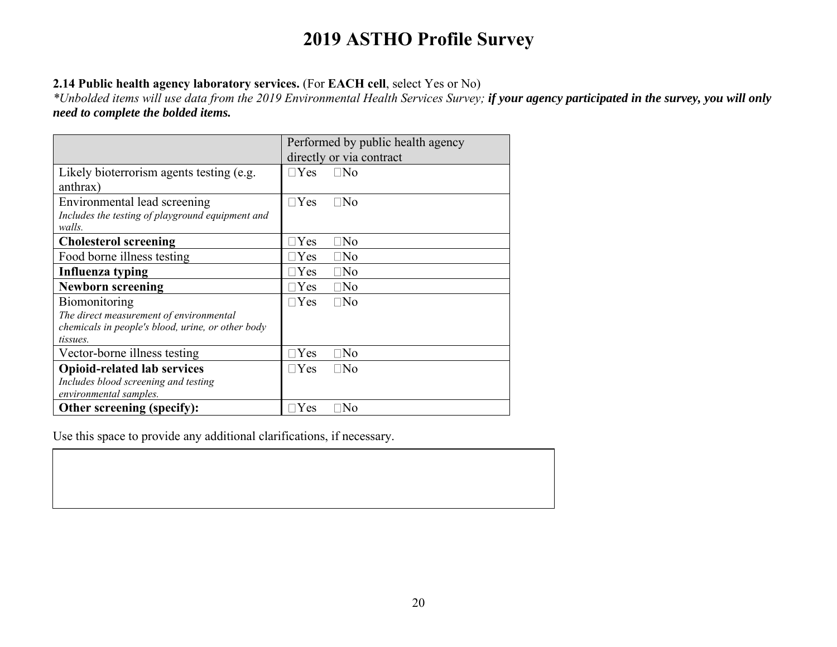## **2.14 Public health agency laboratory services.** (For **EACH cell**, select Yes or No)

*\*Unbolded items will use data from the 2019 Environmental Health Services Survey; if your agency participated in the survey, you will only need to complete the bolded items.*

|                                                   | Performed by public health agency |
|---------------------------------------------------|-----------------------------------|
|                                                   | directly or via contract          |
| Likely bioterrorism agents testing (e.g.          | $\neg$ Yes<br>$\Box$ No           |
| anthrax)                                          |                                   |
| Environmental lead screening                      | $\sqcap$ Yes<br>$\square$ No      |
| Includes the testing of playground equipment and  |                                   |
| walls.                                            |                                   |
| <b>Cholesterol screening</b>                      | $\square$ No<br>$\neg$ Yes        |
| Food borne illness testing                        | $\Box$ No<br>$\Box$ Yes           |
| Influenza typing                                  | $\Box$ Yes<br>$\Box$ No           |
| <b>Newborn screening</b>                          | $\Box$ Yes<br>$\square$ No        |
| Biomonitoring                                     | $\Box$ Yes<br>$\Box$ No           |
| The direct measurement of environmental           |                                   |
| chemicals in people's blood, urine, or other body |                                   |
| tissues.                                          |                                   |
| Vector-borne illness testing                      | $\square$ No<br>$\exists$ Yes     |
| <b>Opioid-related lab services</b>                | $\Box$ Yes<br>$\Box$ No           |
| Includes blood screening and testing              |                                   |
| environmental samples.                            |                                   |
| Other screening (specify):                        | Yes<br>$\Box$ No                  |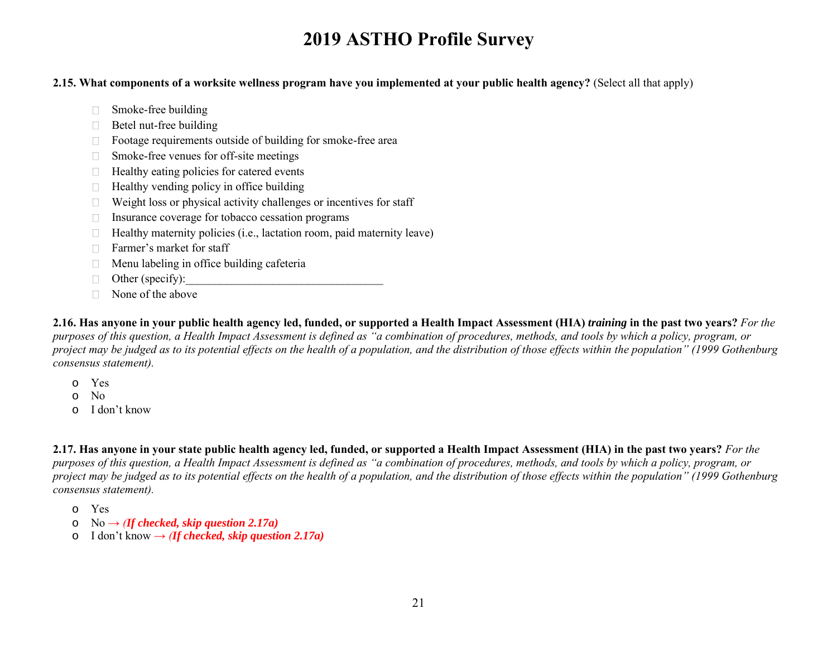#### **2.15. What components of a worksite wellness program have you implemented at your public health agency?** (Select all that apply)

- Smoke-free building
- $\Box$  Betel nut-free building
- □ Footage requirements outside of building for smoke-free area
- □ Smoke-free venues for off-site meetings
- $\Box$  Healthy eating policies for catered events
- $\Box$  Healthy vending policy in office building
- $\Box$  Weight loss or physical activity challenges or incentives for staff
- $\Box$  Insurance coverage for tobacco cessation programs
- $\Box$  Healthy maternity policies (i.e., lactation room, paid maternity leave)
- □ Farmer's market for staff
- $\Box$  Menu labeling in office building cafeteria
- $\Box$  Other (specify):
- $\Box$  None of the above

**2.16. Has anyone in your public health agency led, funded, or supported a Health Impact Assessment (HIA)** *training* **in the past two years?** *For the purposes of this question, a Health Impact Assessment is defined as "a combination of procedures, methods, and tools by which a policy, program, or*  project may be judged as to its potential effects on the health of a population, and the distribution of those effects within the population" (1999 Gothenburg *consensus statement).*

- o Yes
- o No
- o I don't know

**2.17. Has anyone in your state public health agency led, funded, or supported a Health Impact Assessment (HIA) in the past two years?** *For the purposes of this question, a Health Impact Assessment is defined as "a combination of procedures, methods, and tools by which a policy, program, or project may be judged as to its potential effects on the health of a population, and the distribution of those effects within the population" (1999 Gothenburg consensus statement).*

- o Yes
- $No \rightarrow (If checked, skip question 2.17a)$
- $\circ$  I don't know  $\rightarrow$  *(If checked, skip question 2.17a)*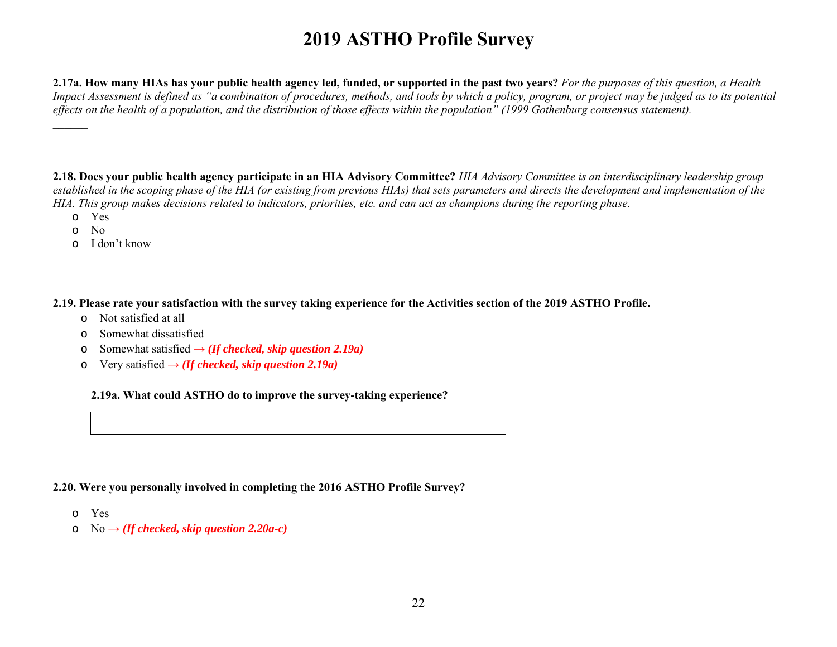**2.17a. How many HIAs has your public health agency led, funded, or supported in the past two years?** *For the purposes of this question, a Health Impact Assessment is defined as "a combination of procedures, methods, and tools by which a policy, program, or project may be judged as to its potential effects on the health of a population, and the distribution of those effects within the population" (1999 Gothenburg consensus statement).*

**2.18. Does your public health agency participate in an HIA Advisory Committee?** *HIA Advisory Committee is an interdisciplinary leadership group established in the scoping phase of the HIA (or existing from previous HIAs) that sets parameters and directs the development and implementation of the HIA. This group makes decisions related to indicators, priorities, etc. and can act as champions during the reporting phase.*

- o Yes
- o No

**\_\_\_\_\_\_**

o I don't know

**2.19. Please rate your satisfaction with the survey taking experience for the Activities section of the 2019 ASTHO Profile.** 

- o Not satisfied at all
- o Somewhat dissatisfied
- o Somewhat satisfied **→** *(If checked, skip question 2.19a)*
- o Very satisfied **→** *(If checked, skip question 2.19a)*

**2.19a. What could ASTHO do to improve the survey-taking experience?**

#### **2.20. Were you personally involved in completing the 2016 ASTHO Profile Survey?**

- o Yes
- $\circ$  No  $\rightarrow$  *(If checked, skip question 2.20a-c)*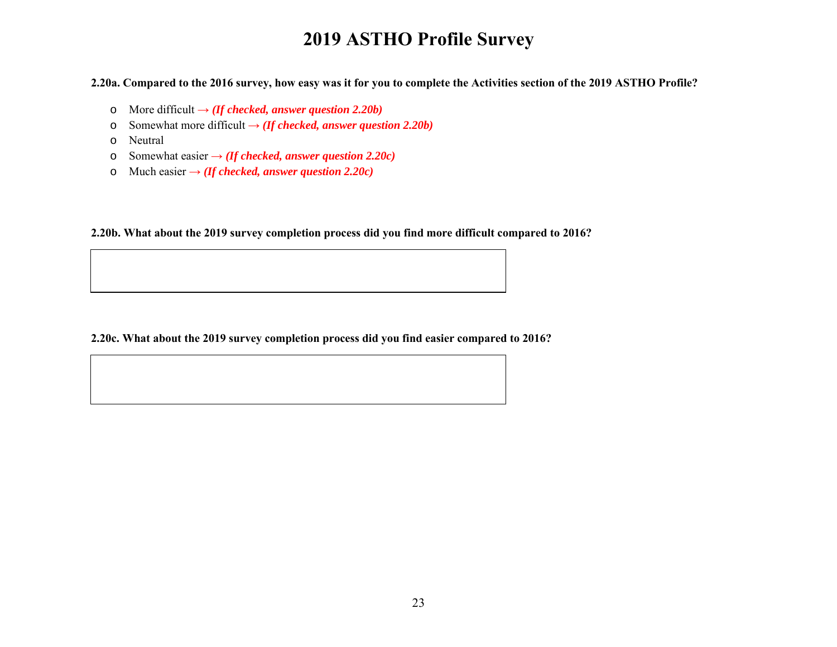**2.20a. Compared to the 2016 survey, how easy was it for you to complete the Activities section of the 2019 ASTHO Profile?** 

- o More difficult **→** *(If checked, answer question 2.20b)*
- o Somewhat more difficult **→** *(If checked, answer question 2.20b)*
- o Neutral
- o Somewhat easier **→** *(If checked, answer question 2.20c)*
- o Much easier  $\rightarrow$  *(If checked, answer question 2.20c)*

**2.20b. What about the 2019 survey completion process did you find more difficult compared to 2016?**

**2.20c. What about the 2019 survey completion process did you find easier compared to 2016?**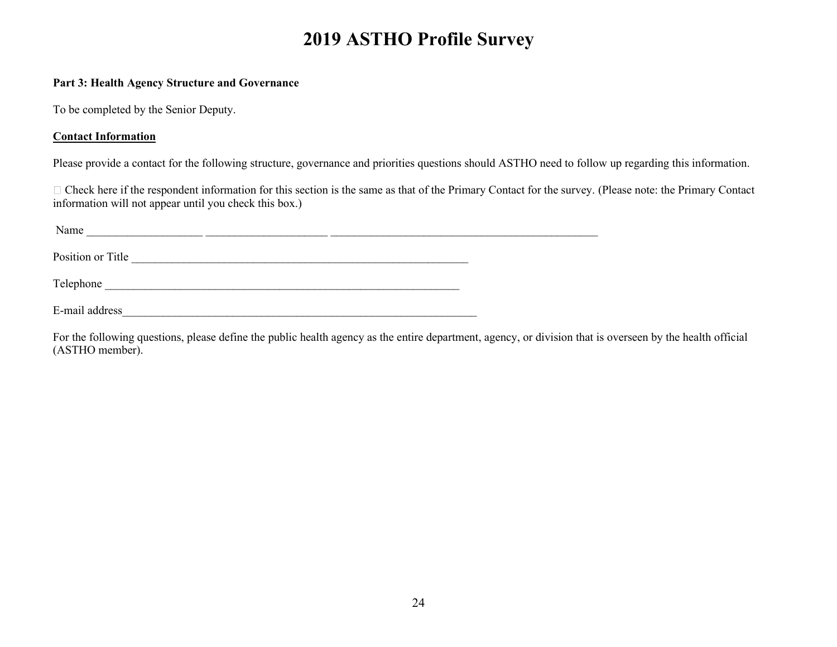#### **Part 3: Health Agency Structure and Governance**

To be completed by the Senior Deputy.

#### **Contact Information**

Please provide a contact for the following structure, governance and priorities questions should ASTHO need to follow up regarding this information.

Check here if the respondent information for this section is the same as that of the Primary Contact for the survey. (Please note: the Primary Contact information will not appear until you check this box.)

| Name              |  |  |  |  |
|-------------------|--|--|--|--|
| Position or Title |  |  |  |  |
| Telephone         |  |  |  |  |
| E-mail address    |  |  |  |  |

For the following questions, please define the public health agency as the entire department, agency, or division that is overseen by the health official (ASTHO member).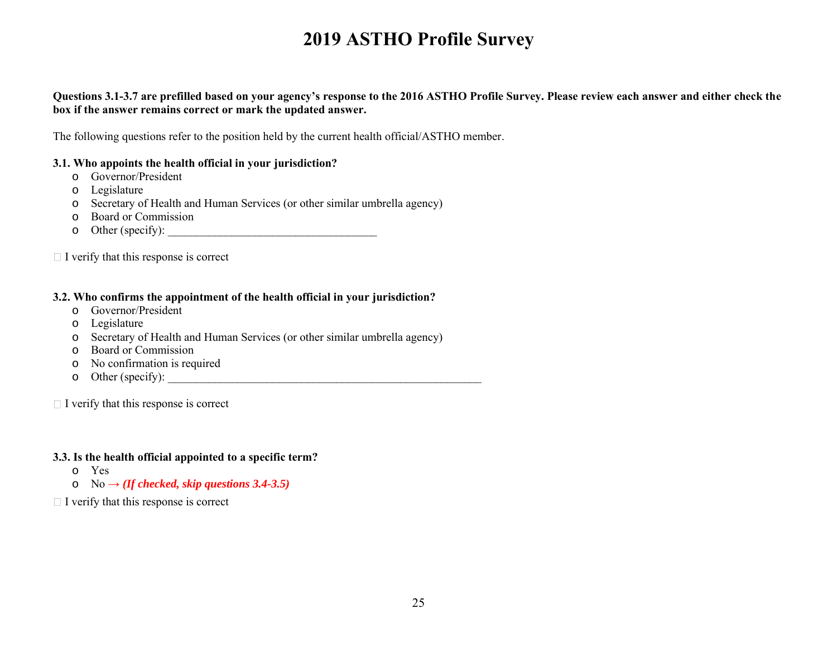#### **Questions 3.1-3.7 are prefilled based on your agency's response to the 2016 ASTHO Profile Survey. Please review each answer and either check the box if the answer remains correct or mark the updated answer.**

The following questions refer to the position held by the current health official/ASTHO member.

#### **3.1. Who appoints the health official in your jurisdiction?**

- o Governor/President
- o Legislature
- o Secretary of Health and Human Services (or other similar umbrella agency)
- o Board or Commission
- o Other (specify): \_\_\_\_\_\_\_\_\_\_\_\_\_\_\_\_\_\_\_\_\_\_\_\_\_\_\_\_\_\_\_\_\_\_\_\_

 $\Box$  I verify that this response is correct

#### **3.2. Who confirms the appointment of the health official in your jurisdiction?**

- o Governor/President
- o Legislature
- o Secretary of Health and Human Services (or other similar umbrella agency)
- o Board or Commission
- o No confirmation is required
- o Other (specify): \_\_\_\_\_\_\_\_\_\_\_\_\_\_\_\_\_\_\_\_\_\_\_\_\_\_\_\_\_\_\_\_\_\_\_\_\_\_\_\_\_\_\_\_\_\_\_\_\_\_\_\_\_\_

 $\Box$  I verify that this response is correct

#### **3.3. Is the health official appointed to a specific term?**

- o Yes
- o No **→** *(If checked, skip questions 3.4-3.5)*
- $\Box$  I verify that this response is correct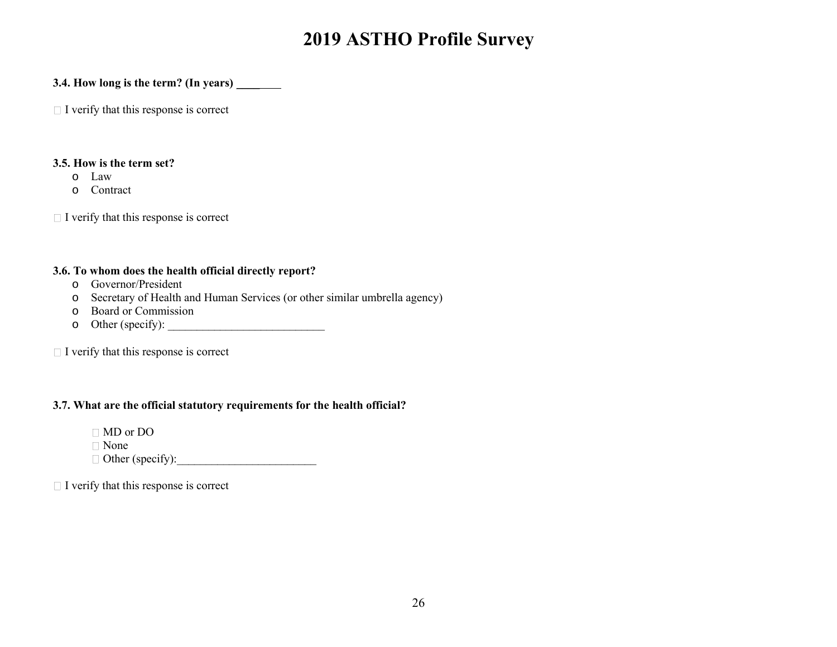#### **3.4. How long is the term? (In years)** \_\_\_\_

 $\Box$  I verify that this response is correct

### **3.5. How is the term set?**

- o Law
- o Contract

 $\Box$  I verify that this response is correct

#### **3.6. To whom does the health official directly report?**

- o Governor/President
- o Secretary of Health and Human Services (or other similar umbrella agency)
- o Board or Commission
- o Other (specify): \_\_\_\_\_\_\_\_\_\_\_\_\_\_\_\_\_\_\_\_\_\_\_\_\_\_\_

 $\Box$  I verify that this response is correct

## **3.7. What are the official statutory requirements for the health official?**

MD or DO

None

Other (specify):\_\_\_\_\_\_\_\_\_\_\_\_\_\_\_\_\_\_\_\_\_\_\_\_

 $\Box$  I verify that this response is correct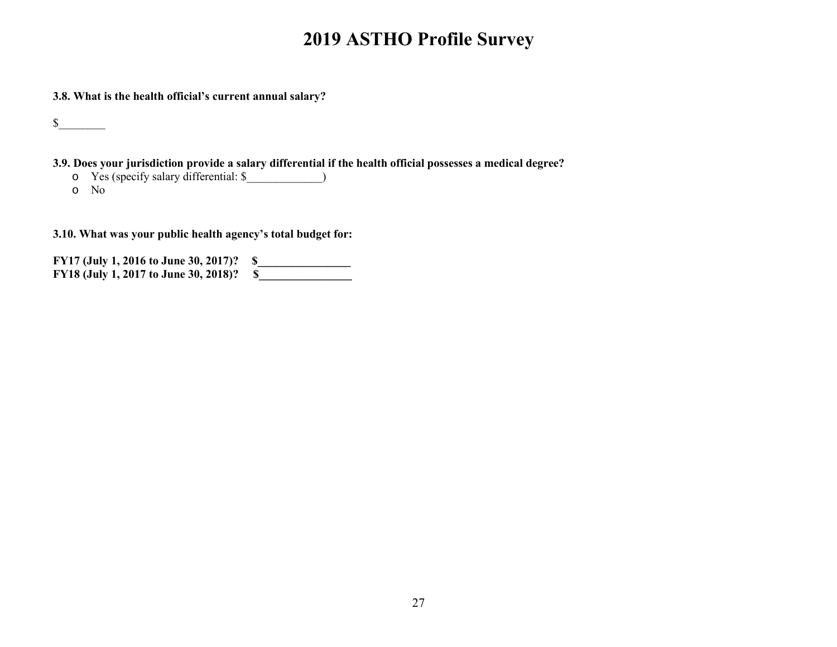**3.8. What is the health official's current annual salary?**

 $\frac{\S_{\perp}}{\S_{\perp}}$ 

**3.9. Does your jurisdiction provide a salary differential if the health official possesses a medical degree?**

o Yes (specify salary differential: \$\_\_\_\_\_\_\_\_\_\_\_\_\_) o No

**3.10. What was your public health agency's total budget for:**

**FY17 (July 1, 2016 to June 30, 2017)? \$\_\_\_\_\_\_\_\_\_\_\_\_\_\_\_\_ FY18 (July 1, 2017 to June 30, 2018)? \$\_\_\_\_\_\_\_\_\_\_\_\_\_\_\_\_**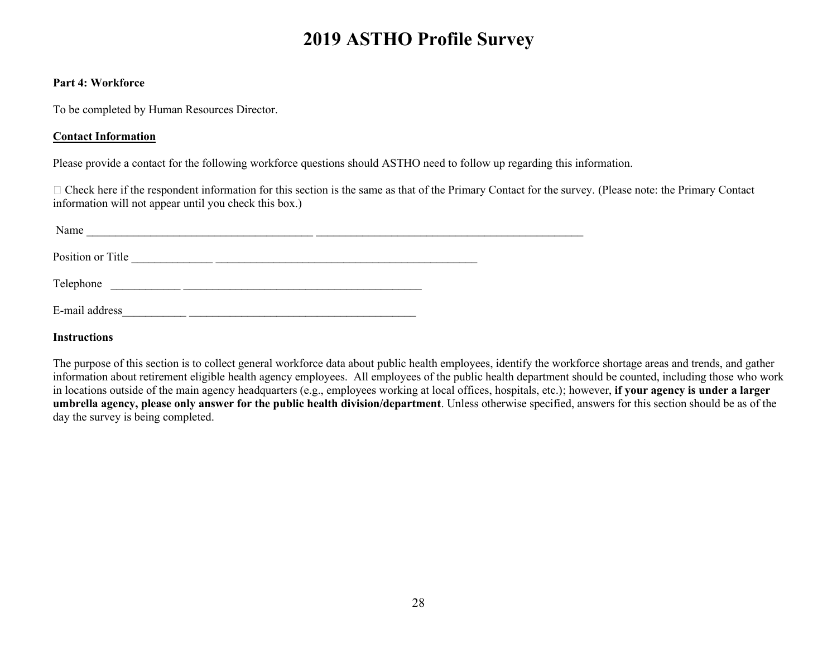#### **Part 4: Workforce**

To be completed by Human Resources Director.

#### **Contact Information**

Please provide a contact for the following workforce questions should ASTHO need to follow up regarding this information.

Check here if the respondent information for this section is the same as that of the Primary Contact for the survey. (Please note: the Primary Contact information will not appear until you check this box.)

| Name              |  |  |  |
|-------------------|--|--|--|
| Position or Title |  |  |  |
| Telephone         |  |  |  |
| E-mail address    |  |  |  |

**Instructions**

The purpose of this section is to collect general workforce data about public health employees, identify the workforce shortage areas and trends, and gather information about retirement eligible health agency employees. All employees of the public health department should be counted, including those who work in locations outside of the main agency headquarters (e.g., employees working at local offices, hospitals, etc.); however, **if your agency is under a larger umbrella agency, please only answer for the public health division/department**. Unless otherwise specified, answers for this section should be as of the day the survey is being completed.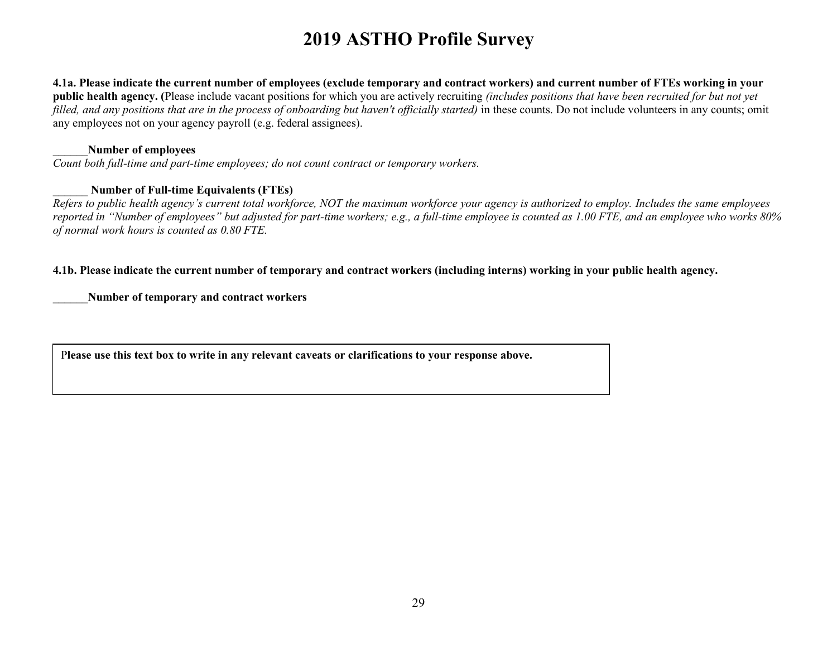**4.1a. Please indicate the current number of employees (exclude temporary and contract workers) and current number of FTEs working in your public health agency. (**Please include vacant positions for which you are actively recruiting *(includes positions that have been recruited for but not yet filled, and any positions that are in the process of onboarding but haven't officially started*) in these counts. Do not include volunteers in any counts; omit any employees not on your agency payroll (e.g. federal assignees).

#### \_\_\_\_\_\_**Number of employees**

*Count both full-time and part-time employees; do not count contract or temporary workers.*

#### \_\_\_\_\_\_ **Number of Full-time Equivalents (FTEs)**

*Refers to public health agency's current total workforce, NOT the maximum workforce your agency is authorized to employ. Includes the same employees reported in "Number of employees" but adjusted for part-time workers; e.g., a full-time employee is counted as 1.00 FTE, and an employee who works 80% of normal work hours is counted as 0.80 FTE.*

#### **4.1b. Please indicate the current number of temporary and contract workers (including interns) working in your public health agency.**

\_\_\_\_\_\_**Number of temporary and contract workers**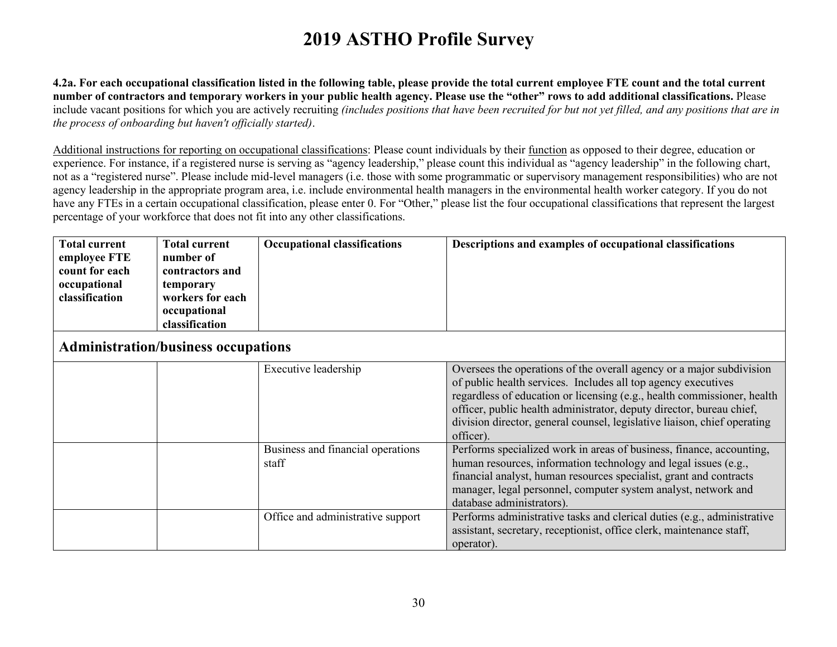**4.2a. For each occupational classification listed in the following table, please provide the total current employee FTE count and the total current number of contractors and temporary workers in your public health agency. Please use the "other" rows to add additional classifications.** Please include vacant positions for which you are actively recruiting *(includes positions that have been recruited for but not yet filled, and any positions that are in the process of onboarding but haven't officially started)*.

Additional instructions for reporting on occupational classifications: Please count individuals by their function as opposed to their degree, education or experience. For instance, if a registered nurse is serving as "agency leadership," please count this individual as "agency leadership" in the following chart, not as a "registered nurse". Please include mid-level managers (i.e. those with some programmatic or supervisory management responsibilities) who are not agency leadership in the appropriate program area, i.e. include environmental health managers in the environmental health worker category. If you do not have any FTEs in a certain occupational classification, please enter 0. For "Other," please list the four occupational classifications that represent the largest percentage of your workforce that does not fit into any other classifications.

| <b>Total current</b> | <b>Total current</b> | <b>Occupational classifications</b> | Descriptions and examples of occupational classifications |
|----------------------|----------------------|-------------------------------------|-----------------------------------------------------------|
| employee FTE         | number of            |                                     |                                                           |
| count for each       | contractors and      |                                     |                                                           |
| occupational         | temporary            |                                     |                                                           |
| classification       | workers for each     |                                     |                                                           |
|                      | occupational         |                                     |                                                           |
|                      | classification       |                                     |                                                           |

## **Administration/business occupations**

|  | Executive leadership                       | Oversees the operations of the overall agency or a major subdivision<br>of public health services. Includes all top agency executives<br>regardless of education or licensing (e.g., health commissioner, health<br>officer, public health administrator, deputy director, bureau chief,<br>division director, general counsel, legislative liaison, chief operating<br>officer). |
|--|--------------------------------------------|-----------------------------------------------------------------------------------------------------------------------------------------------------------------------------------------------------------------------------------------------------------------------------------------------------------------------------------------------------------------------------------|
|  | Business and financial operations<br>staff | Performs specialized work in areas of business, finance, accounting,<br>human resources, information technology and legal issues (e.g.,<br>financial analyst, human resources specialist, grant and contracts<br>manager, legal personnel, computer system analyst, network and<br>database administrators).                                                                      |
|  | Office and administrative support          | Performs administrative tasks and clerical duties (e.g., administrative<br>assistant, secretary, receptionist, office clerk, maintenance staff,<br>operator).                                                                                                                                                                                                                     |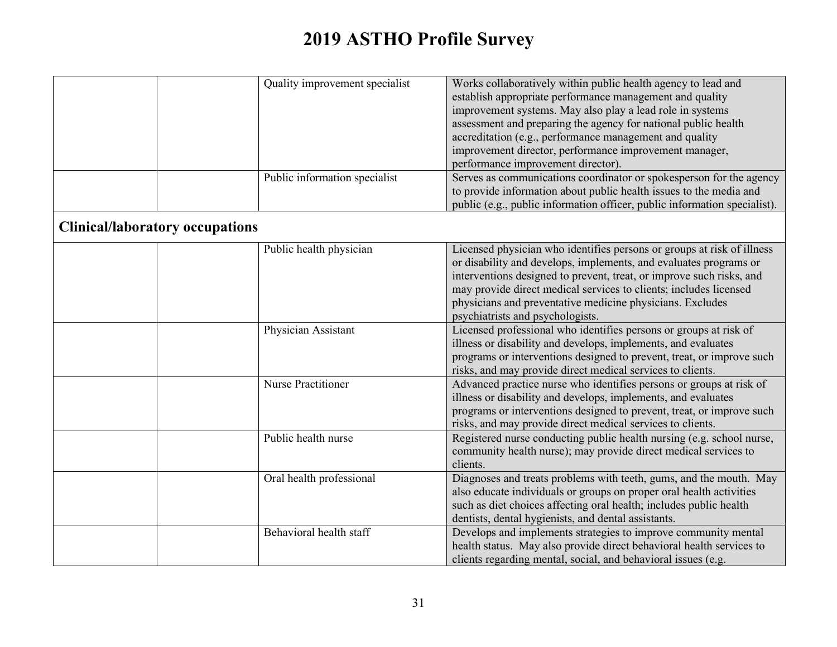|                                        | Quality improvement specialist | Works collaboratively within public health agency to lead and<br>establish appropriate performance management and quality<br>improvement systems. May also play a lead role in systems<br>assessment and preparing the agency for national public health<br>accreditation (e.g., performance management and quality<br>improvement director, performance improvement manager,<br>performance improvement director). |
|----------------------------------------|--------------------------------|---------------------------------------------------------------------------------------------------------------------------------------------------------------------------------------------------------------------------------------------------------------------------------------------------------------------------------------------------------------------------------------------------------------------|
|                                        | Public information specialist  | Serves as communications coordinator or spokesperson for the agency<br>to provide information about public health issues to the media and<br>public (e.g., public information officer, public information specialist).                                                                                                                                                                                              |
| <b>Clinical/laboratory occupations</b> |                                |                                                                                                                                                                                                                                                                                                                                                                                                                     |
|                                        | Public health physician        | Licensed physician who identifies persons or groups at risk of illness<br>or disability and develops, implements, and evaluates programs or<br>interventions designed to prevent, treat, or improve such risks, and<br>may provide direct medical services to clients; includes licensed<br>physicians and preventative medicine physicians. Excludes<br>psychiatrists and psychologists.                           |
|                                        | Physician Assistant            | Licensed professional who identifies persons or groups at risk of<br>illness or disability and develops, implements, and evaluates<br>programs or interventions designed to prevent, treat, or improve such<br>risks, and may provide direct medical services to clients.                                                                                                                                           |
|                                        | Nurse Practitioner             | Advanced practice nurse who identifies persons or groups at risk of<br>illness or disability and develops, implements, and evaluates<br>programs or interventions designed to prevent, treat, or improve such<br>risks, and may provide direct medical services to clients.                                                                                                                                         |
|                                        | Public health nurse            | Registered nurse conducting public health nursing (e.g. school nurse,<br>community health nurse); may provide direct medical services to<br>clients.                                                                                                                                                                                                                                                                |
|                                        | Oral health professional       | Diagnoses and treats problems with teeth, gums, and the mouth. May<br>also educate individuals or groups on proper oral health activities<br>such as diet choices affecting oral health; includes public health<br>dentists, dental hygienists, and dental assistants.                                                                                                                                              |
|                                        | Behavioral health staff        | Develops and implements strategies to improve community mental<br>health status. May also provide direct behavioral health services to<br>clients regarding mental, social, and behavioral issues (e.g.                                                                                                                                                                                                             |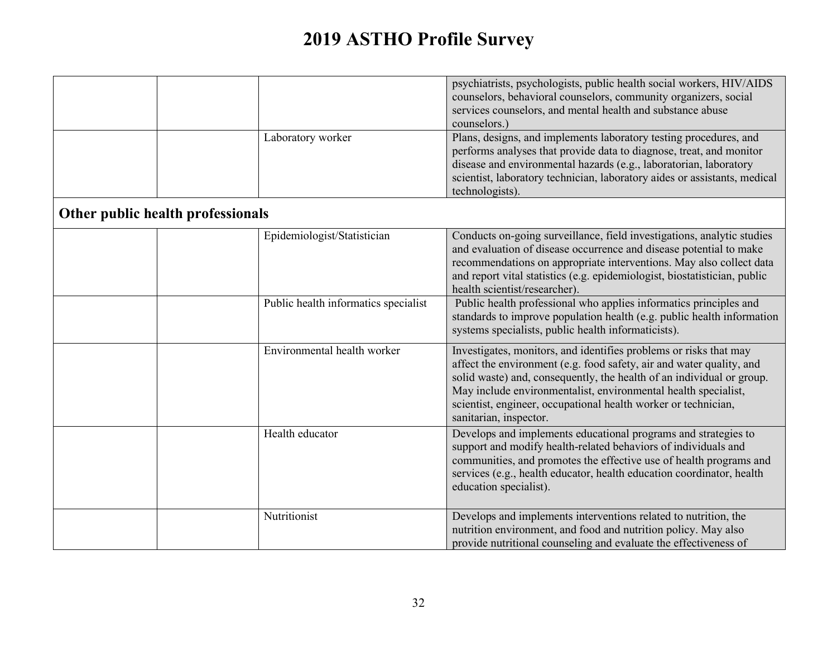|                                      | psychiatrists, psychologists, public health social workers, HIV/AIDS<br>counselors, behavioral counselors, community organizers, social<br>services counselors, and mental health and substance abuse<br>counselors.)                                                                                                                                                            |
|--------------------------------------|----------------------------------------------------------------------------------------------------------------------------------------------------------------------------------------------------------------------------------------------------------------------------------------------------------------------------------------------------------------------------------|
| Laboratory worker                    | Plans, designs, and implements laboratory testing procedures, and<br>performs analyses that provide data to diagnose, treat, and monitor<br>disease and environmental hazards (e.g., laboratorian, laboratory<br>scientist, laboratory technician, laboratory aides or assistants, medical<br>technologists).                                                                    |
| Other public health professionals    |                                                                                                                                                                                                                                                                                                                                                                                  |
| Epidemiologist/Statistician          | Conducts on-going surveillance, field investigations, analytic studies<br>and evaluation of disease occurrence and disease potential to make<br>recommendations on appropriate interventions. May also collect data<br>and report vital statistics (e.g. epidemiologist, biostatistician, public<br>health scientist/researcher).                                                |
| Public health informatics specialist | Public health professional who applies informatics principles and<br>standards to improve population health (e.g. public health information<br>systems specialists, public health informaticists).                                                                                                                                                                               |
| Environmental health worker          | Investigates, monitors, and identifies problems or risks that may<br>affect the environment (e.g. food safety, air and water quality, and<br>solid waste) and, consequently, the health of an individual or group.<br>May include environmentalist, environmental health specialist,<br>scientist, engineer, occupational health worker or technician,<br>sanitarian, inspector. |
| Health educator                      | Develops and implements educational programs and strategies to<br>support and modify health-related behaviors of individuals and<br>communities, and promotes the effective use of health programs and<br>services (e.g., health educator, health education coordinator, health<br>education specialist).                                                                        |
| Nutritionist                         | Develops and implements interventions related to nutrition, the<br>nutrition environment, and food and nutrition policy. May also<br>provide nutritional counseling and evaluate the effectiveness of                                                                                                                                                                            |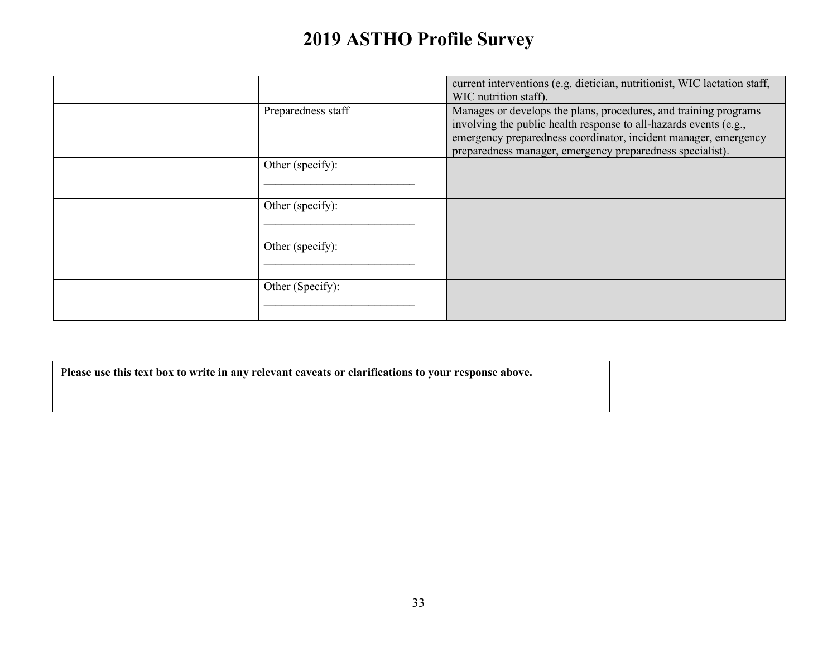|                    | current interventions (e.g. dietician, nutritionist, WIC lactation staff,<br>WIC nutrition staff).                                                                                                                                                                    |
|--------------------|-----------------------------------------------------------------------------------------------------------------------------------------------------------------------------------------------------------------------------------------------------------------------|
| Preparedness staff | Manages or develops the plans, procedures, and training programs<br>involving the public health response to all-hazards events (e.g.,<br>emergency preparedness coordinator, incident manager, emergency<br>preparedness manager, emergency preparedness specialist). |
| Other (specify):   |                                                                                                                                                                                                                                                                       |
| Other (specify):   |                                                                                                                                                                                                                                                                       |
| Other (specify):   |                                                                                                                                                                                                                                                                       |
| Other (Specify):   |                                                                                                                                                                                                                                                                       |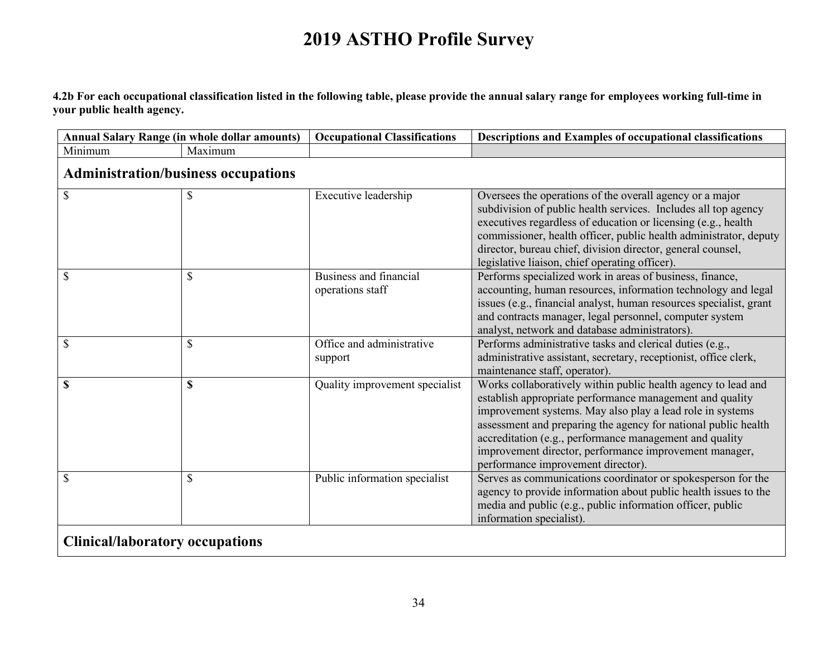**4.2b For each occupational classification listed in the following table, please provide the annual salary range for employees working full-time in your public health agency.** 

| <b>Annual Salary Range (in whole dollar amounts)</b> |         | <b>Occupational Classifications</b>        | Descriptions and Examples of occupational classifications                                                                                                                                                                                                                                                                                                                                                           |
|------------------------------------------------------|---------|--------------------------------------------|---------------------------------------------------------------------------------------------------------------------------------------------------------------------------------------------------------------------------------------------------------------------------------------------------------------------------------------------------------------------------------------------------------------------|
| Minimum                                              | Maximum |                                            |                                                                                                                                                                                                                                                                                                                                                                                                                     |
| <b>Administration/business occupations</b>           |         |                                            |                                                                                                                                                                                                                                                                                                                                                                                                                     |
| \$                                                   | \$      | Executive leadership                       | Oversees the operations of the overall agency or a major<br>subdivision of public health services. Includes all top agency<br>executives regardless of education or licensing (e.g., health<br>commissioner, health officer, public health administrator, deputy<br>director, bureau chief, division director, general counsel,<br>legislative liaison, chief operating officer).                                   |
| \$                                                   | \$      | Business and financial<br>operations staff | Performs specialized work in areas of business, finance,<br>accounting, human resources, information technology and legal<br>issues (e.g., financial analyst, human resources specialist, grant<br>and contracts manager, legal personnel, computer system<br>analyst, network and database administrators).                                                                                                        |
| \$                                                   | \$      | Office and administrative<br>support       | Performs administrative tasks and clerical duties (e.g.,<br>administrative assistant, secretary, receptionist, office clerk,<br>maintenance staff, operator).                                                                                                                                                                                                                                                       |
| \$                                                   | \$      | Quality improvement specialist             | Works collaboratively within public health agency to lead and<br>establish appropriate performance management and quality<br>improvement systems. May also play a lead role in systems<br>assessment and preparing the agency for national public health<br>accreditation (e.g., performance management and quality<br>improvement director, performance improvement manager,<br>performance improvement director). |
| \$                                                   | \$      | Public information specialist              | Serves as communications coordinator or spokesperson for the<br>agency to provide information about public health issues to the<br>media and public (e.g., public information officer, public<br>information specialist).                                                                                                                                                                                           |
| <b>Clinical/laboratory occupations</b>               |         |                                            |                                                                                                                                                                                                                                                                                                                                                                                                                     |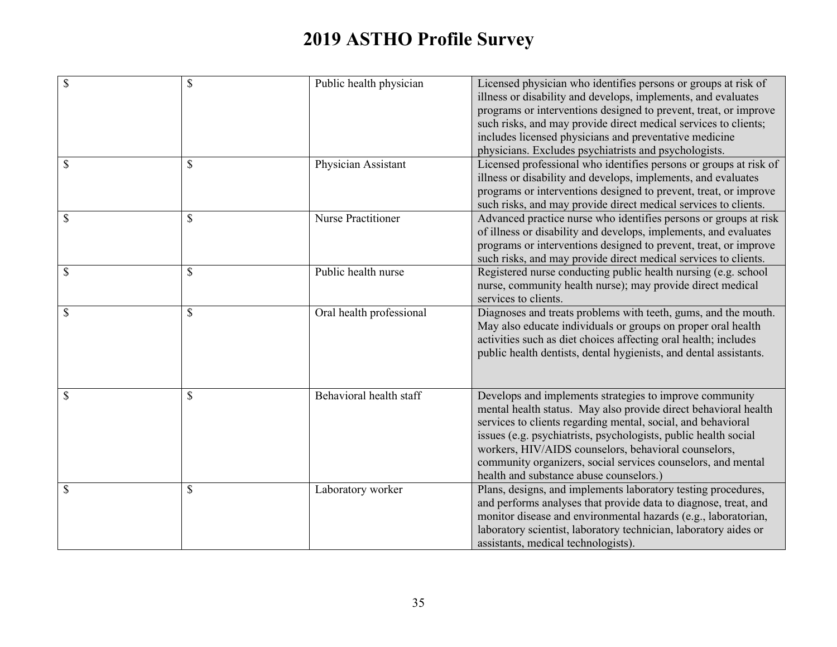| $\mathbb{S}$  | $\mathbb{S}$ | Public health physician   | Licensed physician who identifies persons or groups at risk of<br>illness or disability and develops, implements, and evaluates<br>programs or interventions designed to prevent, treat, or improve<br>such risks, and may provide direct medical services to clients;<br>includes licensed physicians and preventative medicine<br>physicians. Excludes psychiatrists and psychologists.                                        |
|---------------|--------------|---------------------------|----------------------------------------------------------------------------------------------------------------------------------------------------------------------------------------------------------------------------------------------------------------------------------------------------------------------------------------------------------------------------------------------------------------------------------|
| \$            | \$           | Physician Assistant       | Licensed professional who identifies persons or groups at risk of<br>illness or disability and develops, implements, and evaluates<br>programs or interventions designed to prevent, treat, or improve<br>such risks, and may provide direct medical services to clients.                                                                                                                                                        |
| $\mathcal{S}$ | \$           | <b>Nurse Practitioner</b> | Advanced practice nurse who identifies persons or groups at risk<br>of illness or disability and develops, implements, and evaluates<br>programs or interventions designed to prevent, treat, or improve<br>such risks, and may provide direct medical services to clients.                                                                                                                                                      |
| $\mathcal{S}$ | \$           | Public health nurse       | Registered nurse conducting public health nursing (e.g. school<br>nurse, community health nurse); may provide direct medical<br>services to clients.                                                                                                                                                                                                                                                                             |
| \$            | \$           | Oral health professional  | Diagnoses and treats problems with teeth, gums, and the mouth.<br>May also educate individuals or groups on proper oral health<br>activities such as diet choices affecting oral health; includes<br>public health dentists, dental hygienists, and dental assistants.                                                                                                                                                           |
| \$            | \$           | Behavioral health staff   | Develops and implements strategies to improve community<br>mental health status. May also provide direct behavioral health<br>services to clients regarding mental, social, and behavioral<br>issues (e.g. psychiatrists, psychologists, public health social<br>workers, HIV/AIDS counselors, behavioral counselors,<br>community organizers, social services counselors, and mental<br>health and substance abuse counselors.) |
| \$            | \$           | Laboratory worker         | Plans, designs, and implements laboratory testing procedures,<br>and performs analyses that provide data to diagnose, treat, and<br>monitor disease and environmental hazards (e.g., laboratorian,<br>laboratory scientist, laboratory technician, laboratory aides or<br>assistants, medical technologists).                                                                                                                    |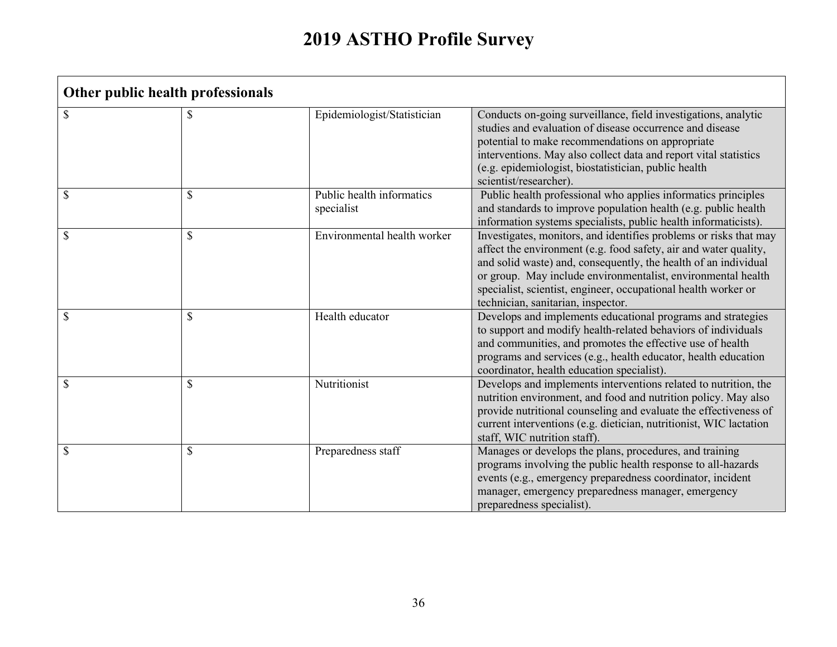**T** 

| Other public health professionals |              |                                         |                                                                                                                                                                                                                                                                                                                                                                                  |  |
|-----------------------------------|--------------|-----------------------------------------|----------------------------------------------------------------------------------------------------------------------------------------------------------------------------------------------------------------------------------------------------------------------------------------------------------------------------------------------------------------------------------|--|
| \$                                | S            | Epidemiologist/Statistician             | Conducts on-going surveillance, field investigations, analytic<br>studies and evaluation of disease occurrence and disease<br>potential to make recommendations on appropriate<br>interventions. May also collect data and report vital statistics<br>(e.g. epidemiologist, biostatistician, public health<br>scientist/researcher).                                             |  |
| \$                                | \$           | Public health informatics<br>specialist | Public health professional who applies informatics principles<br>and standards to improve population health (e.g. public health<br>information systems specialists, public health informaticists).                                                                                                                                                                               |  |
| \$                                | $\mathbb{S}$ | Environmental health worker             | Investigates, monitors, and identifies problems or risks that may<br>affect the environment (e.g. food safety, air and water quality,<br>and solid waste) and, consequently, the health of an individual<br>or group. May include environmentalist, environmental health<br>specialist, scientist, engineer, occupational health worker or<br>technician, sanitarian, inspector. |  |
| \$                                | \$           | Health educator                         | Develops and implements educational programs and strategies<br>to support and modify health-related behaviors of individuals<br>and communities, and promotes the effective use of health<br>programs and services (e.g., health educator, health education<br>coordinator, health education specialist).                                                                        |  |
| \$                                | \$           | Nutritionist                            | Develops and implements interventions related to nutrition, the<br>nutrition environment, and food and nutrition policy. May also<br>provide nutritional counseling and evaluate the effectiveness of<br>current interventions (e.g. dietician, nutritionist, WIC lactation<br>staff, WIC nutrition staff).                                                                      |  |
| \$                                | \$           | Preparedness staff                      | Manages or develops the plans, procedures, and training<br>programs involving the public health response to all-hazards<br>events (e.g., emergency preparedness coordinator, incident<br>manager, emergency preparedness manager, emergency<br>preparedness specialist).                                                                                                         |  |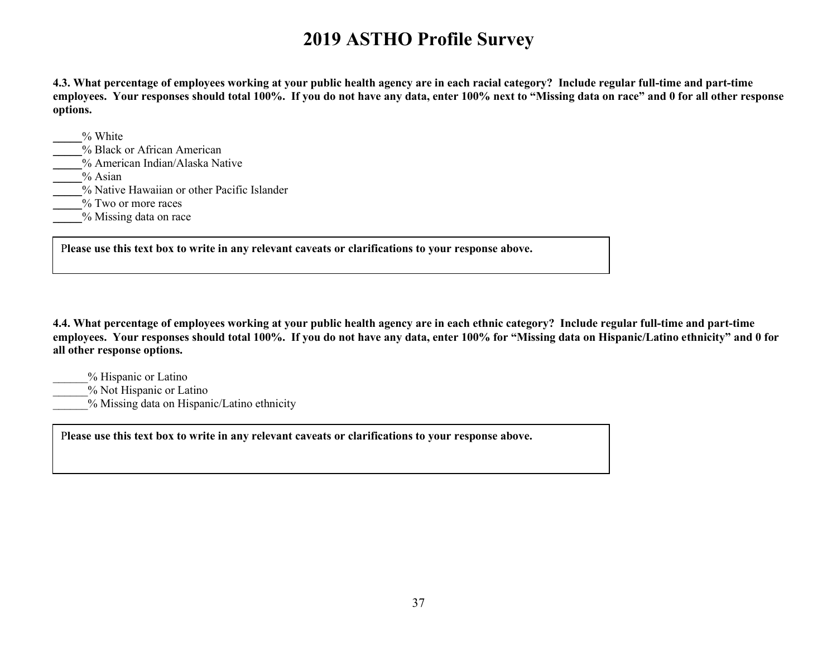**4.3. What percentage of employees working at your public health agency are in each racial category? Include regular full-time and part-time employees. Your responses should total 100%. If you do not have any data, enter 100% next to "Missing data on race" and 0 for all other response options.**

\_\_\_\_\_% White \_\_\_\_\_% Black or African American \_\_\_\_\_% American Indian/Alaska Native \_\_\_\_\_% Asian \_\_\_\_\_% Native Hawaiian or other Pacific Islander \_\_\_\_\_% Two or more races \_\_\_\_\_% Missing data on race

P**lease use this text box to write in any relevant caveats or clarifications to your response above.**

**4.4. What percentage of employees working at your public health agency are in each ethnic category? Include regular full-time and part-time employees. Your responses should total 100%. If you do not have any data, enter 100% for "Missing data on Hispanic/Latino ethnicity" and 0 for all other response options.**

- \_\_\_\_\_\_% Hispanic or Latino
- \_\_\_\_\_\_% Not Hispanic or Latino
- % Missing data on Hispanic/Latino ethnicity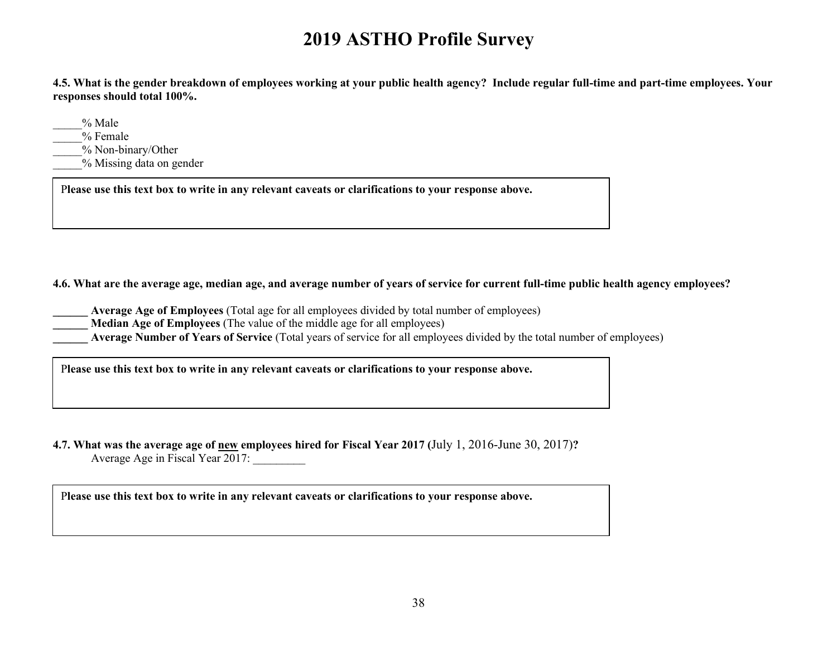**4.5. What is the gender breakdown of employees working at your public health agency? Include regular full-time and part-time employees. Your responses should total 100%.** 

\_\_\_\_\_% Male

\_\_\_\_\_% Female

\_\_\_\_\_% Non-binary/Other

\_\_\_\_\_% Missing data on gender

P**lease use this text box to write in any relevant caveats or clarifications to your response above.**

**4.6. What are the average age, median age, and average number of years of service for current full-time public health agency employees?** 

- **\_\_\_\_\_\_ Average Age of Employees** (Total age for all employees divided by total number of employees)
- **\_\_\_\_\_\_ Median Age of Employees** (The value of the middle age for all employees)
- **Average Number of Years of Service** (Total years of service for all employees divided by the total number of employees)

P**lease use this text box to write in any relevant caveats or clarifications to your response above.**

**4.7. What was the average age of new employees hired for Fiscal Year 2017 (**July 1, 2016-June 30, 2017)**?** Average Age in Fiscal Year  $2017$ :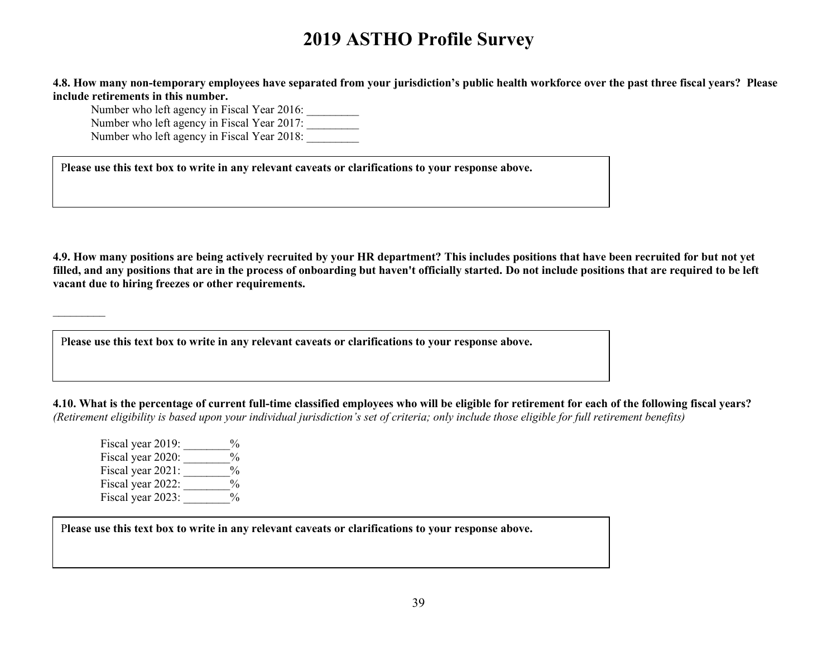**4.8. How many non-temporary employees have separated from your jurisdiction's public health workforce over the past three fiscal years? Please include retirements in this number.**

Number who left agency in Fiscal Year 2016: Number who left agency in Fiscal Year 2017: Number who left agency in Fiscal Year 2018:

P**lease use this text box to write in any relevant caveats or clarifications to your response above.**

**4.9. How many positions are being actively recruited by your HR department? This includes positions that have been recruited for but not yet filled, and any positions that are in the process of onboarding but haven't officially started. Do not include positions that are required to be left vacant due to hiring freezes or other requirements.**

P**lease use this text box to write in any relevant caveats or clarifications to your response above.**

**4.10. What is the percentage of current full-time classified employees who will be eligible for retirement for each of the following fiscal years?** *(Retirement eligibility is based upon your individual jurisdiction's set of criteria; only include those eligible for full retirement benefits)*

Fiscal year 2019:  $\frac{9}{6}$ Fiscal year 2020:  $\frac{6}{\sqrt{6}}$ Fiscal year 2021:  $\frac{6}{\sqrt{2}}$ Fiscal year 2022:  $\frac{\%}{\%}$ Fiscal year 2023:  $\frac{6}{6}$ 

 $\frac{1}{2}$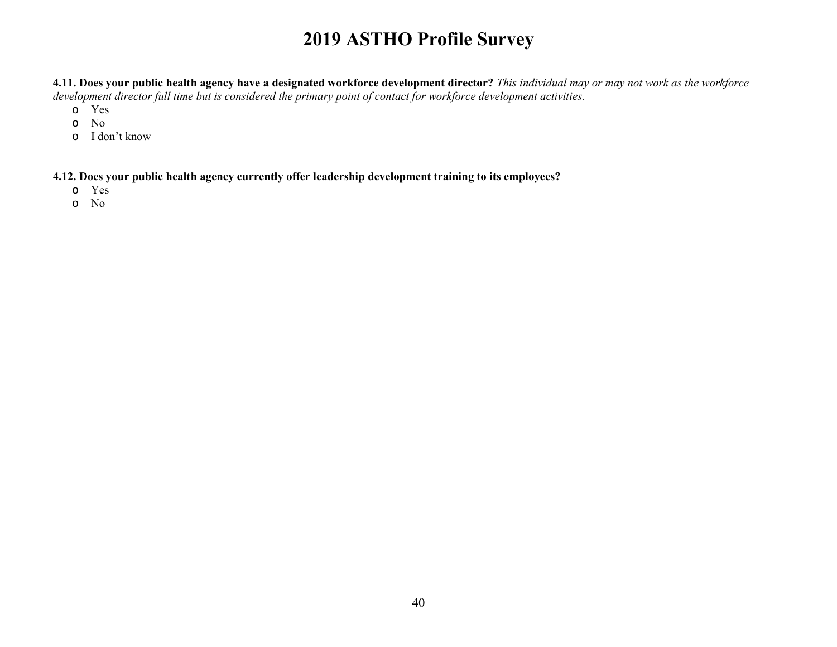**4.11. Does your public health agency have a designated workforce development director?** *This individual may or may not work as the workforce development director full time but is considered the primary point of contact for workforce development activities.*

- o Yes
- o No
- o I don't know

**4.12. Does your public health agency currently offer leadership development training to its employees?** 

- o Yes
- o No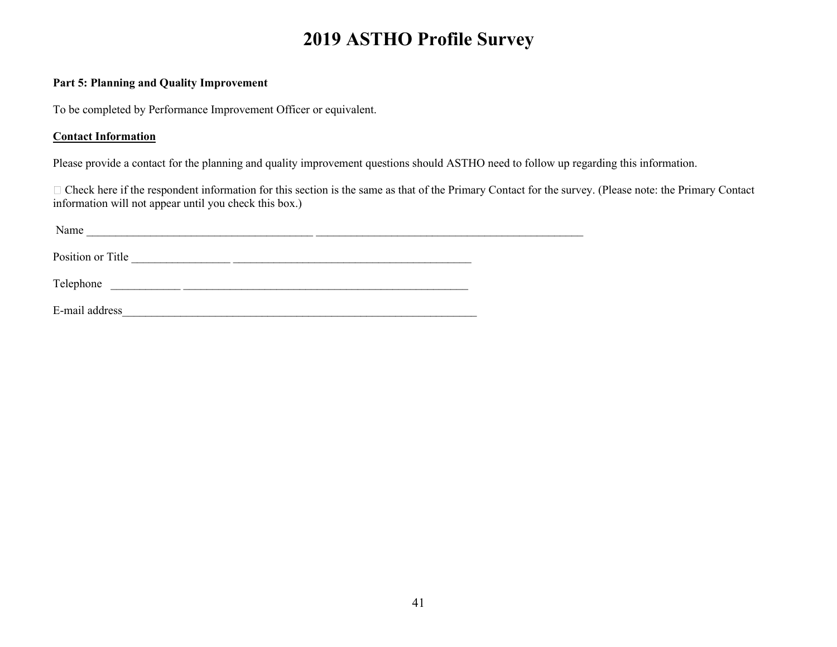#### **Part 5: Planning and Quality Improvement**

To be completed by Performance Improvement Officer or equivalent.

### **Contact Information**

Please provide a contact for the planning and quality improvement questions should ASTHO need to follow up regarding this information.

Check here if the respondent information for this section is the same as that of the Primary Contact for the survey. (Please note: the Primary Contact information will not appear until you check this box.)

| Name              |  |  |  |
|-------------------|--|--|--|
| Position or Title |  |  |  |
| Telephone         |  |  |  |
| E-mail address    |  |  |  |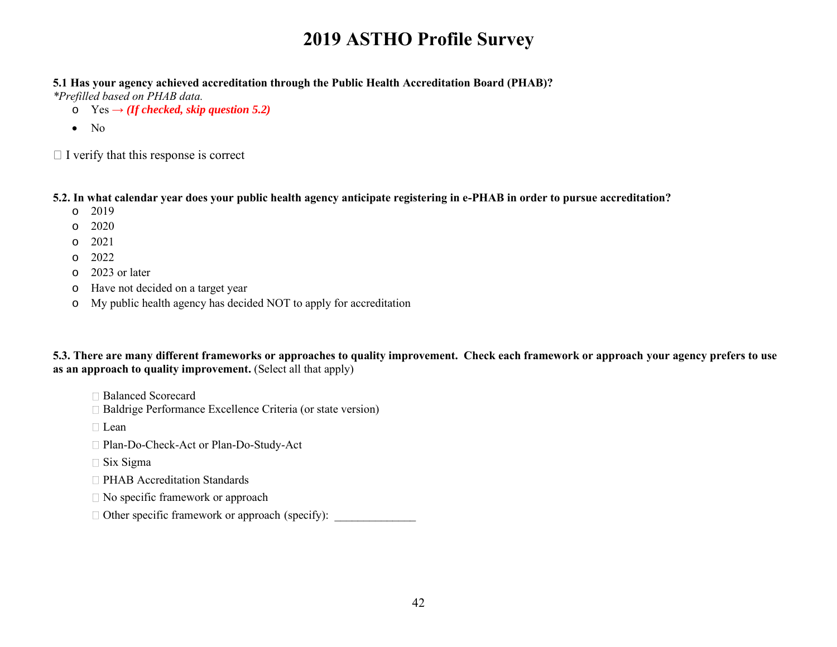#### **5.1 Has your agency achieved accreditation through the Public Health Accreditation Board (PHAB)?**

*\*Prefilled based on PHAB data.*

- $\circ$  Yes  $\rightarrow$  *(If checked, skip question 5.2)*
- No

 $\Box$  I verify that this response is correct

#### **5.2. In what calendar year does your public health agency anticipate registering in e-PHAB in order to pursue accreditation?**

- o 2019
- o 2020
- o 2021
- o 2022
- o 2023 or later
- o Have not decided on a target year
- o My public health agency has decided NOT to apply for accreditation

**5.3. There are many different frameworks or approaches to quality improvement. Check each framework or approach your agency prefers to use**  as an approach to quality improvement. (Select all that apply)

- □ Balanced Scorecard
- Baldrige Performance Excellence Criteria (or state version)
- □ Lean
- □ Plan-Do-Check-Act or Plan-Do-Study-Act
- $\Box$  Six Sigma
- □ PHAB Accreditation Standards
- □ No specific framework or approach
- $\Box$  Other specific framework or approach (specify):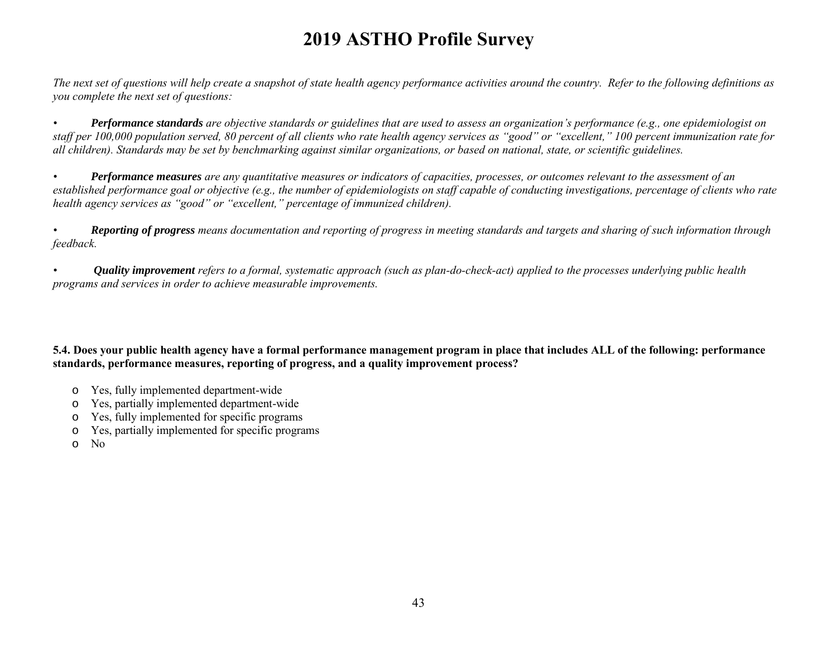*The next set of questions will help create a snapshot of state health agency performance activities around the country. Refer to the following definitions as you complete the next set of questions:*

*• Performance standards are objective standards or guidelines that are used to assess an organization's performance (e.g., one epidemiologist on staff per 100,000 population served, 80 percent of all clients who rate health agency services as "good" or "excellent," 100 percent immunization rate for all children). Standards may be set by benchmarking against similar organizations, or based on national, state, or scientific guidelines.*

*• Performance measures are any quantitative measures or indicators of capacities, processes, or outcomes relevant to the assessment of an established performance goal or objective (e.g., the number of epidemiologists on staff capable of conducting investigations, percentage of clients who rate health agency services as "good" or "excellent," percentage of immunized children).*

*• Reporting of progress means documentation and reporting of progress in meeting standards and targets and sharing of such information through feedback.*

*• Quality improvement refers to a formal, systematic approach (such as plan-do-check-act) applied to the processes underlying public health programs and services in order to achieve measurable improvements.*

**5.4. Does your public health agency have a formal performance management program in place that includes ALL of the following: performance standards, performance measures, reporting of progress, and a quality improvement process?** 

- o Yes, fully implemented department-wide
- o Yes, partially implemented department-wide
- o Yes, fully implemented for specific programs
- o Yes, partially implemented for specific programs
- o No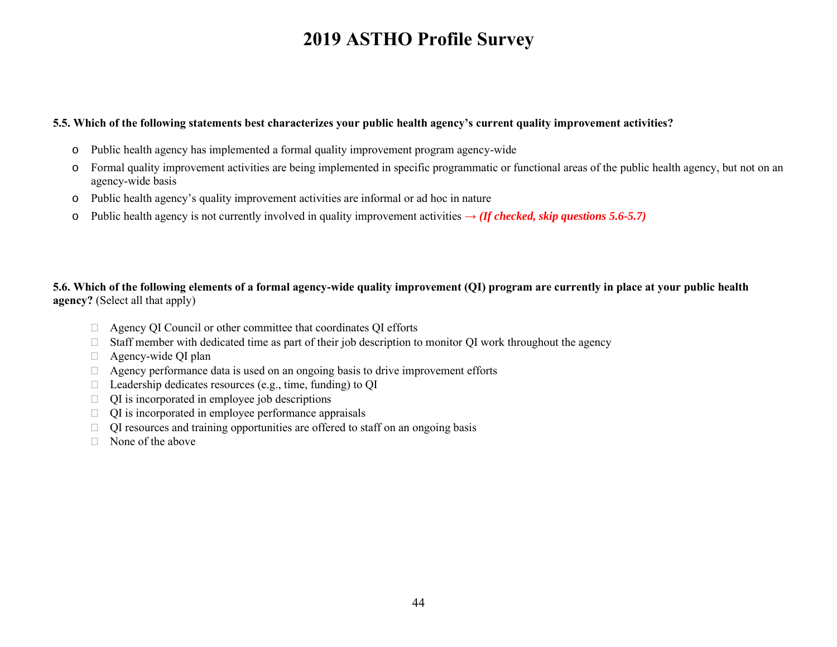#### **5.5. Which of the following statements best characterizes your public health agency's current quality improvement activities?**

- o Public health agency has implemented a formal quality improvement program agency-wide
- o Formal quality improvement activities are being implemented in specific programmatic or functional areas of the public health agency, but not on an agency-wide basis
- o Public health agency's quality improvement activities are informal or ad hoc in nature
- o Public health agency is not currently involved in quality improvement activities **→** *(If checked, skip questions 5.6-5.7)*

#### **5.6. Which of the following elements of a formal agency-wide quality improvement (QI) program are currently in place at your public health agency?** (Select all that apply)

- Agency QI Council or other committee that coordinates QI efforts
- $\Box$  Staff member with dedicated time as part of their job description to monitor QI work throughout the agency
- □ Agency-wide QI plan
- $\Box$  Agency performance data is used on an ongoing basis to drive improvement efforts
- $\Box$  Leadership dedicates resources (e.g., time, funding) to OI
- $\Box$  QI is incorporated in employee job descriptions
- $\Box$  QI is incorporated in employee performance appraisals
- $\Box$  QI resources and training opportunities are offered to staff on an ongoing basis
- $\Box$  None of the above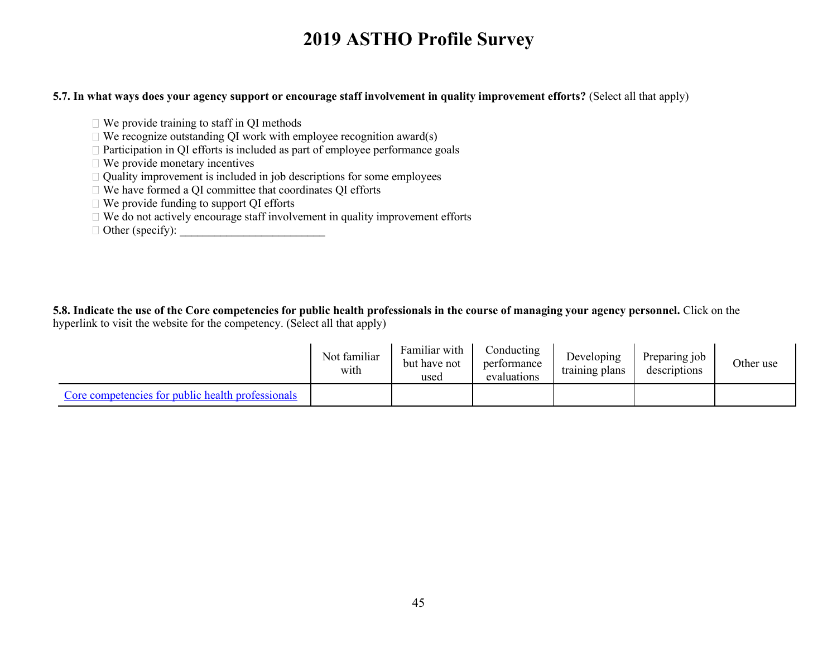#### **5.7. In what ways does your agency support or encourage staff involvement in quality improvement efforts?** (Select all that apply)

- $\Box$  We provide training to staff in QI methods
- $\Box$  We recognize outstanding QI work with employee recognition award(s)
- $\Box$  Participation in QI efforts is included as part of employee performance goals
- $\Box$  We provide monetary incentives
- $\Box$  Quality improvement is included in job descriptions for some employees
- We have formed a QI committee that coordinates QI efforts
- We provide funding to support QI efforts
- $\Box$  We do not actively encourage staff involvement in quality improvement efforts
- $\Box$  Other (specify):

**5.8. Indicate the use of the Core competencies for public health professionals in the course of managing your agency personnel.** Click on the hyperlink to visit the website for the competency. (Select all that apply)

|                                                   | Not familiar<br>with | Familiar with<br>but have not<br>used | Conducting<br>performance<br>evaluations | Developing<br>training plans | Preparing job<br>descriptions | Other use |
|---------------------------------------------------|----------------------|---------------------------------------|------------------------------------------|------------------------------|-------------------------------|-----------|
| Core competencies for public health professionals |                      |                                       |                                          |                              |                               |           |